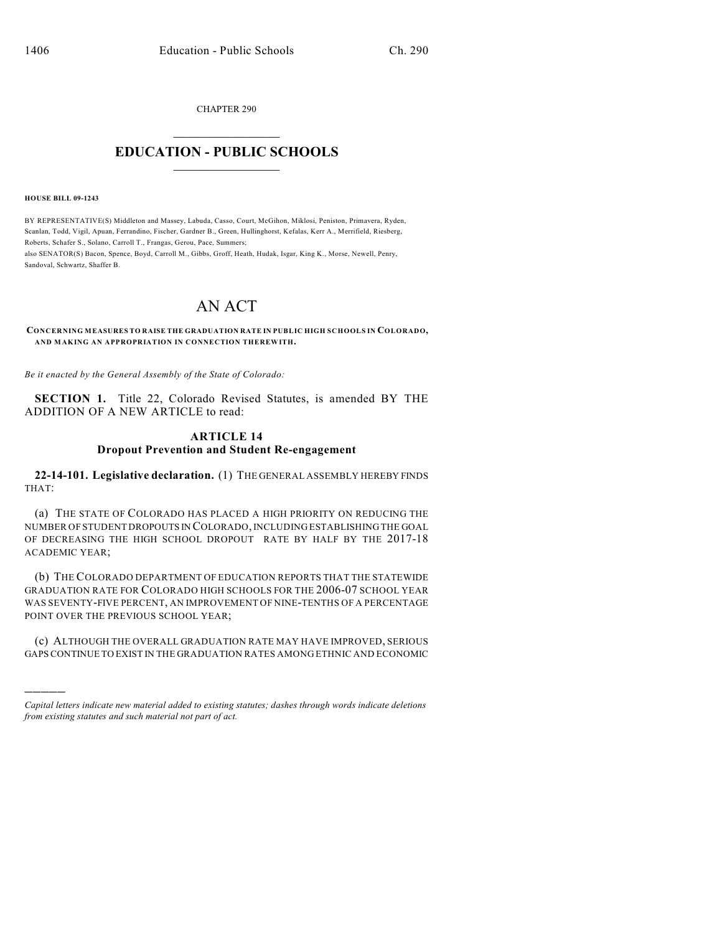CHAPTER 290

# $\overline{\phantom{a}}$  . The set of the set of the set of the set of the set of the set of the set of the set of the set of the set of the set of the set of the set of the set of the set of the set of the set of the set of the set o **EDUCATION - PUBLIC SCHOOLS**  $\_$   $\_$   $\_$   $\_$   $\_$   $\_$   $\_$   $\_$   $\_$

#### **HOUSE BILL 09-1243**

)))))

BY REPRESENTATIVE(S) Middleton and Massey, Labuda, Casso, Court, McGihon, Miklosi, Peniston, Primavera, Ryden, Scanlan, Todd, Vigil, Apuan, Ferrandino, Fischer, Gardner B., Green, Hullinghorst, Kefalas, Kerr A., Merrifield, Riesberg, Roberts, Schafer S., Solano, Carroll T., Frangas, Gerou, Pace, Summers; also SENATOR(S) Bacon, Spence, Boyd, Carroll M., Gibbs, Groff, Heath, Hudak, Isgar, King K., Morse, Newell, Penry, Sandoval, Schwartz, Shaffer B.

# AN ACT

**CONCERNING MEASURES TO RAISE THE GRADUATION RATE IN PUBLIC HIGH SCHOOLS IN COLORADO, AND MAKING AN APPROPRIATION IN CONNECTION THEREWITH.**

*Be it enacted by the General Assembly of the State of Colorado:*

**SECTION 1.** Title 22, Colorado Revised Statutes, is amended BY THE ADDITION OF A NEW ARTICLE to read:

### **ARTICLE 14**

#### **Dropout Prevention and Student Re-engagement**

**22-14-101. Legislative declaration.** (1) THE GENERAL ASSEMBLY HEREBY FINDS THAT:

(a) THE STATE OF COLORADO HAS PLACED A HIGH PRIORITY ON REDUCING THE NUMBER OF STUDENT DROPOUTS IN COLORADO, INCLUDING ESTABLISHING THE GOAL OF DECREASING THE HIGH SCHOOL DROPOUT RATE BY HALF BY THE 2017-18 ACADEMIC YEAR;

(b) THE COLORADO DEPARTMENT OF EDUCATION REPORTS THAT THE STATEWIDE GRADUATION RATE FOR COLORADO HIGH SCHOOLS FOR THE 2006-07 SCHOOL YEAR WAS SEVENTY-FIVE PERCENT, AN IMPROVEMENT OF NINE-TENTHS OF A PERCENTAGE POINT OVER THE PREVIOUS SCHOOL YEAR;

(c) ALTHOUGH THE OVERALL GRADUATION RATE MAY HAVE IMPROVED, SERIOUS GAPS CONTINUE TO EXIST IN THE GRADUATION RATES AMONG ETHNIC AND ECONOMIC

*Capital letters indicate new material added to existing statutes; dashes through words indicate deletions from existing statutes and such material not part of act.*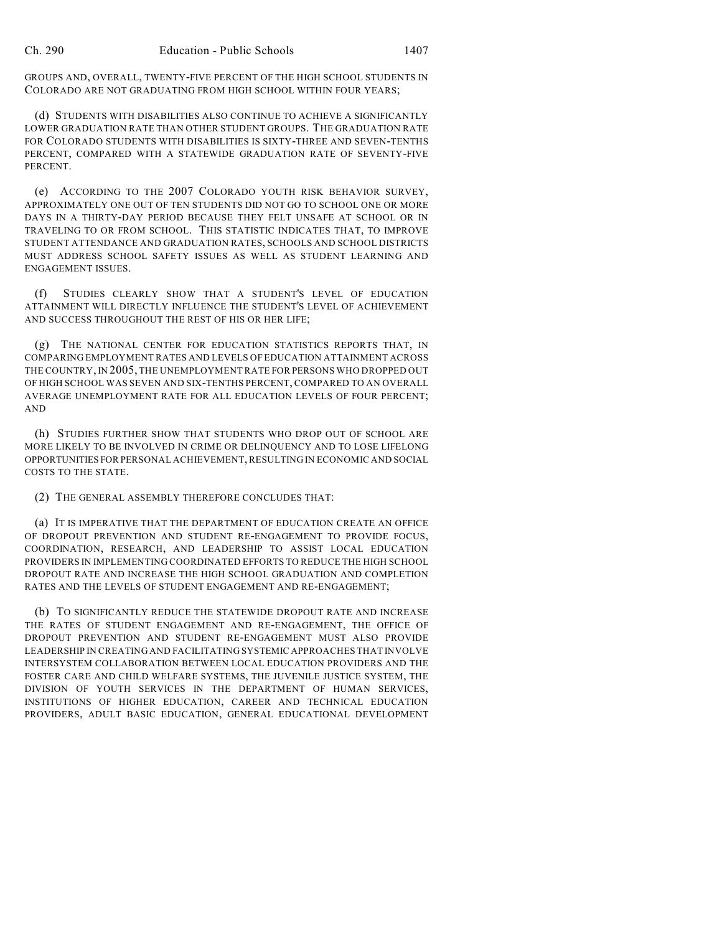GROUPS AND, OVERALL, TWENTY-FIVE PERCENT OF THE HIGH SCHOOL STUDENTS IN COLORADO ARE NOT GRADUATING FROM HIGH SCHOOL WITHIN FOUR YEARS;

(d) STUDENTS WITH DISABILITIES ALSO CONTINUE TO ACHIEVE A SIGNIFICANTLY LOWER GRADUATION RATE THAN OTHER STUDENT GROUPS. THE GRADUATION RATE FOR COLORADO STUDENTS WITH DISABILITIES IS SIXTY-THREE AND SEVEN-TENTHS PERCENT, COMPARED WITH A STATEWIDE GRADUATION RATE OF SEVENTY-FIVE PERCENT.

(e) ACCORDING TO THE 2007 COLORADO YOUTH RISK BEHAVIOR SURVEY, APPROXIMATELY ONE OUT OF TEN STUDENTS DID NOT GO TO SCHOOL ONE OR MORE DAYS IN A THIRTY-DAY PERIOD BECAUSE THEY FELT UNSAFE AT SCHOOL OR IN TRAVELING TO OR FROM SCHOOL. THIS STATISTIC INDICATES THAT, TO IMPROVE STUDENT ATTENDANCE AND GRADUATION RATES, SCHOOLS AND SCHOOL DISTRICTS MUST ADDRESS SCHOOL SAFETY ISSUES AS WELL AS STUDENT LEARNING AND ENGAGEMENT ISSUES.

(f) STUDIES CLEARLY SHOW THAT A STUDENT'S LEVEL OF EDUCATION ATTAINMENT WILL DIRECTLY INFLUENCE THE STUDENT'S LEVEL OF ACHIEVEMENT AND SUCCESS THROUGHOUT THE REST OF HIS OR HER LIFE;

(g) THE NATIONAL CENTER FOR EDUCATION STATISTICS REPORTS THAT, IN COMPARING EMPLOYMENT RATES AND LEVELS OF EDUCATION ATTAINMENT ACROSS THE COUNTRY, IN 2005, THE UNEMPLOYMENT RATE FOR PERSONS WHO DROPPED OUT OF HIGH SCHOOL WAS SEVEN AND SIX-TENTHS PERCENT, COMPARED TO AN OVERALL AVERAGE UNEMPLOYMENT RATE FOR ALL EDUCATION LEVELS OF FOUR PERCENT; AND

(h) STUDIES FURTHER SHOW THAT STUDENTS WHO DROP OUT OF SCHOOL ARE MORE LIKELY TO BE INVOLVED IN CRIME OR DELINQUENCY AND TO LOSE LIFELONG OPPORTUNITIES FOR PERSONAL ACHIEVEMENT, RESULTING IN ECONOMIC AND SOCIAL COSTS TO THE STATE.

(2) THE GENERAL ASSEMBLY THEREFORE CONCLUDES THAT:

(a) IT IS IMPERATIVE THAT THE DEPARTMENT OF EDUCATION CREATE AN OFFICE OF DROPOUT PREVENTION AND STUDENT RE-ENGAGEMENT TO PROVIDE FOCUS, COORDINATION, RESEARCH, AND LEADERSHIP TO ASSIST LOCAL EDUCATION PROVIDERS IN IMPLEMENTING COORDINATED EFFORTS TO REDUCE THE HIGH SCHOOL DROPOUT RATE AND INCREASE THE HIGH SCHOOL GRADUATION AND COMPLETION RATES AND THE LEVELS OF STUDENT ENGAGEMENT AND RE-ENGAGEMENT;

(b) TO SIGNIFICANTLY REDUCE THE STATEWIDE DROPOUT RATE AND INCREASE THE RATES OF STUDENT ENGAGEMENT AND RE-ENGAGEMENT, THE OFFICE OF DROPOUT PREVENTION AND STUDENT RE-ENGAGEMENT MUST ALSO PROVIDE LEADERSHIP IN CREATING AND FACILITATING SYSTEMIC APPROACHES THAT INVOLVE INTERSYSTEM COLLABORATION BETWEEN LOCAL EDUCATION PROVIDERS AND THE FOSTER CARE AND CHILD WELFARE SYSTEMS, THE JUVENILE JUSTICE SYSTEM, THE DIVISION OF YOUTH SERVICES IN THE DEPARTMENT OF HUMAN SERVICES, INSTITUTIONS OF HIGHER EDUCATION, CAREER AND TECHNICAL EDUCATION PROVIDERS, ADULT BASIC EDUCATION, GENERAL EDUCATIONAL DEVELOPMENT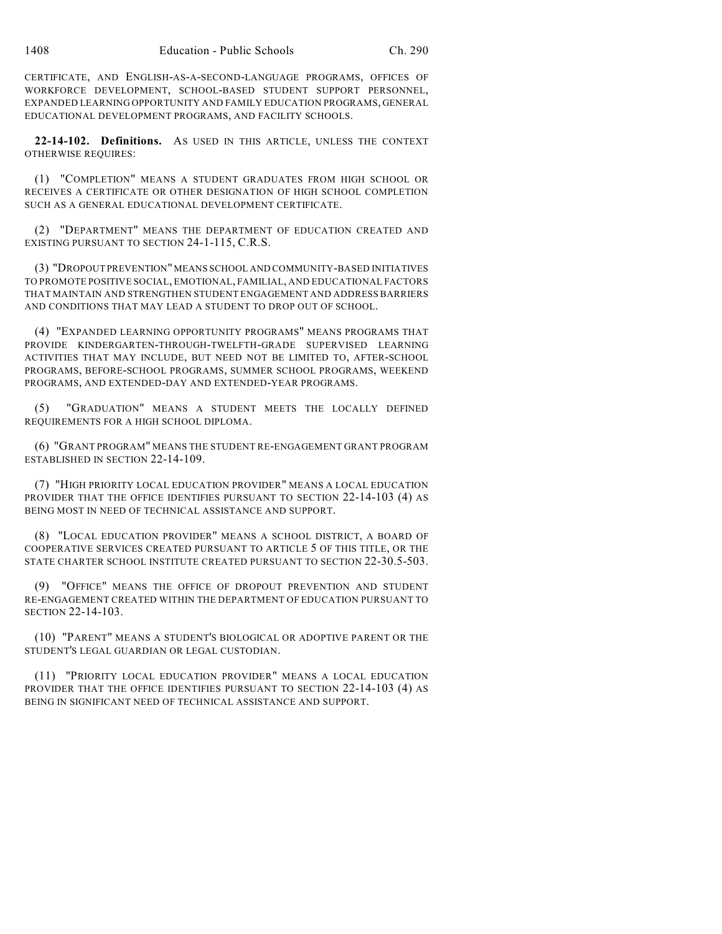CERTIFICATE, AND ENGLISH-AS-A-SECOND-LANGUAGE PROGRAMS, OFFICES OF WORKFORCE DEVELOPMENT, SCHOOL-BASED STUDENT SUPPORT PERSONNEL, EXPANDED LEARNING OPPORTUNITY AND FAMILY EDUCATION PROGRAMS, GENERAL EDUCATIONAL DEVELOPMENT PROGRAMS, AND FACILITY SCHOOLS.

**22-14-102. Definitions.** AS USED IN THIS ARTICLE, UNLESS THE CONTEXT OTHERWISE REQUIRES:

(1) "COMPLETION" MEANS A STUDENT GRADUATES FROM HIGH SCHOOL OR RECEIVES A CERTIFICATE OR OTHER DESIGNATION OF HIGH SCHOOL COMPLETION SUCH AS A GENERAL EDUCATIONAL DEVELOPMENT CERTIFICATE.

(2) "DEPARTMENT" MEANS THE DEPARTMENT OF EDUCATION CREATED AND EXISTING PURSUANT TO SECTION 24-1-115, C.R.S.

(3) "DROPOUT PREVENTION" MEANS SCHOOL AND COMMUNITY-BASED INITIATIVES TO PROMOTE POSITIVE SOCIAL, EMOTIONAL, FAMILIAL, AND EDUCATIONAL FACTORS THAT MAINTAIN AND STRENGTHEN STUDENT ENGAGEMENT AND ADDRESS BARRIERS AND CONDITIONS THAT MAY LEAD A STUDENT TO DROP OUT OF SCHOOL.

(4) "EXPANDED LEARNING OPPORTUNITY PROGRAMS" MEANS PROGRAMS THAT PROVIDE KINDERGARTEN-THROUGH-TWELFTH-GRADE SUPERVISED LEARNING ACTIVITIES THAT MAY INCLUDE, BUT NEED NOT BE LIMITED TO, AFTER-SCHOOL PROGRAMS, BEFORE-SCHOOL PROGRAMS, SUMMER SCHOOL PROGRAMS, WEEKEND PROGRAMS, AND EXTENDED-DAY AND EXTENDED-YEAR PROGRAMS.

(5) "GRADUATION" MEANS A STUDENT MEETS THE LOCALLY DEFINED REQUIREMENTS FOR A HIGH SCHOOL DIPLOMA.

(6) "GRANT PROGRAM" MEANS THE STUDENT RE-ENGAGEMENT GRANT PROGRAM ESTABLISHED IN SECTION 22-14-109.

(7) "HIGH PRIORITY LOCAL EDUCATION PROVIDER" MEANS A LOCAL EDUCATION PROVIDER THAT THE OFFICE IDENTIFIES PURSUANT TO SECTION 22-14-103 (4) AS BEING MOST IN NEED OF TECHNICAL ASSISTANCE AND SUPPORT.

(8) "LOCAL EDUCATION PROVIDER" MEANS A SCHOOL DISTRICT, A BOARD OF COOPERATIVE SERVICES CREATED PURSUANT TO ARTICLE 5 OF THIS TITLE, OR THE STATE CHARTER SCHOOL INSTITUTE CREATED PURSUANT TO SECTION 22-30.5-503.

(9) "OFFICE" MEANS THE OFFICE OF DROPOUT PREVENTION AND STUDENT RE-ENGAGEMENT CREATED WITHIN THE DEPARTMENT OF EDUCATION PURSUANT TO SECTION 22-14-103.

(10) "PARENT" MEANS A STUDENT'S BIOLOGICAL OR ADOPTIVE PARENT OR THE STUDENT'S LEGAL GUARDIAN OR LEGAL CUSTODIAN.

(11) "PRIORITY LOCAL EDUCATION PROVIDER" MEANS A LOCAL EDUCATION PROVIDER THAT THE OFFICE IDENTIFIES PURSUANT TO SECTION 22-14-103 (4) AS BEING IN SIGNIFICANT NEED OF TECHNICAL ASSISTANCE AND SUPPORT.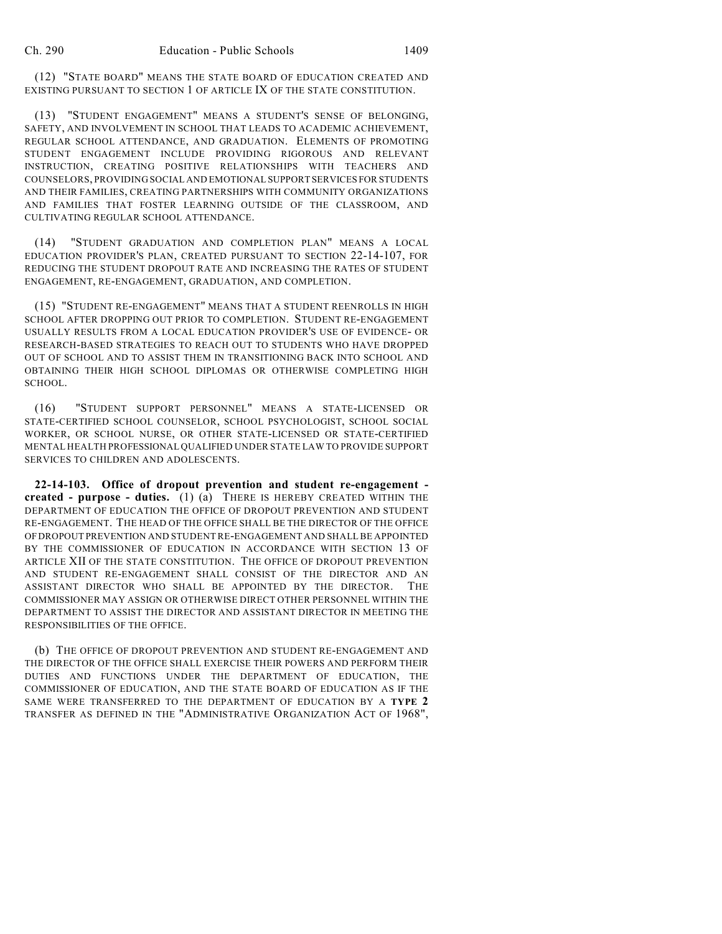(12) "STATE BOARD" MEANS THE STATE BOARD OF EDUCATION CREATED AND EXISTING PURSUANT TO SECTION 1 OF ARTICLE IX OF THE STATE CONSTITUTION.

(13) "STUDENT ENGAGEMENT" MEANS A STUDENT'S SENSE OF BELONGING, SAFETY, AND INVOLVEMENT IN SCHOOL THAT LEADS TO ACADEMIC ACHIEVEMENT, REGULAR SCHOOL ATTENDANCE, AND GRADUATION. ELEMENTS OF PROMOTING STUDENT ENGAGEMENT INCLUDE PROVIDING RIGOROUS AND RELEVANT INSTRUCTION, CREATING POSITIVE RELATIONSHIPS WITH TEACHERS AND COUNSELORS, PROVIDING SOCIAL AND EMOTIONAL SUPPORT SERVICES FOR STUDENTS AND THEIR FAMILIES, CREATING PARTNERSHIPS WITH COMMUNITY ORGANIZATIONS AND FAMILIES THAT FOSTER LEARNING OUTSIDE OF THE CLASSROOM, AND CULTIVATING REGULAR SCHOOL ATTENDANCE.

(14) "STUDENT GRADUATION AND COMPLETION PLAN" MEANS A LOCAL EDUCATION PROVIDER'S PLAN, CREATED PURSUANT TO SECTION 22-14-107, FOR REDUCING THE STUDENT DROPOUT RATE AND INCREASING THE RATES OF STUDENT ENGAGEMENT, RE-ENGAGEMENT, GRADUATION, AND COMPLETION.

(15) "STUDENT RE-ENGAGEMENT" MEANS THAT A STUDENT REENROLLS IN HIGH SCHOOL AFTER DROPPING OUT PRIOR TO COMPLETION. STUDENT RE-ENGAGEMENT USUALLY RESULTS FROM A LOCAL EDUCATION PROVIDER'S USE OF EVIDENCE- OR RESEARCH-BASED STRATEGIES TO REACH OUT TO STUDENTS WHO HAVE DROPPED OUT OF SCHOOL AND TO ASSIST THEM IN TRANSITIONING BACK INTO SCHOOL AND OBTAINING THEIR HIGH SCHOOL DIPLOMAS OR OTHERWISE COMPLETING HIGH SCHOOL.

(16) "STUDENT SUPPORT PERSONNEL" MEANS A STATE-LICENSED OR STATE-CERTIFIED SCHOOL COUNSELOR, SCHOOL PSYCHOLOGIST, SCHOOL SOCIAL WORKER, OR SCHOOL NURSE, OR OTHER STATE-LICENSED OR STATE-CERTIFIED MENTAL HEALTH PROFESSIONAL QUALIFIED UNDER STATE LAW TO PROVIDE SUPPORT SERVICES TO CHILDREN AND ADOLESCENTS.

**22-14-103. Office of dropout prevention and student re-engagement created - purpose - duties.** (1) (a) THERE IS HEREBY CREATED WITHIN THE DEPARTMENT OF EDUCATION THE OFFICE OF DROPOUT PREVENTION AND STUDENT RE-ENGAGEMENT. THE HEAD OF THE OFFICE SHALL BE THE DIRECTOR OF THE OFFICE OF DROPOUT PREVENTION AND STUDENT RE-ENGAGEMENT AND SHALL BE APPOINTED BY THE COMMISSIONER OF EDUCATION IN ACCORDANCE WITH SECTION 13 OF ARTICLE XII OF THE STATE CONSTITUTION. THE OFFICE OF DROPOUT PREVENTION AND STUDENT RE-ENGAGEMENT SHALL CONSIST OF THE DIRECTOR AND AN ASSISTANT DIRECTOR WHO SHALL BE APPOINTED BY THE DIRECTOR. THE COMMISSIONER MAY ASSIGN OR OTHERWISE DIRECT OTHER PERSONNEL WITHIN THE DEPARTMENT TO ASSIST THE DIRECTOR AND ASSISTANT DIRECTOR IN MEETING THE RESPONSIBILITIES OF THE OFFICE.

(b) THE OFFICE OF DROPOUT PREVENTION AND STUDENT RE-ENGAGEMENT AND THE DIRECTOR OF THE OFFICE SHALL EXERCISE THEIR POWERS AND PERFORM THEIR DUTIES AND FUNCTIONS UNDER THE DEPARTMENT OF EDUCATION, THE COMMISSIONER OF EDUCATION, AND THE STATE BOARD OF EDUCATION AS IF THE SAME WERE TRANSFERRED TO THE DEPARTMENT OF EDUCATION BY A **TYPE 2** TRANSFER AS DEFINED IN THE "ADMINISTRATIVE ORGANIZATION ACT OF 1968",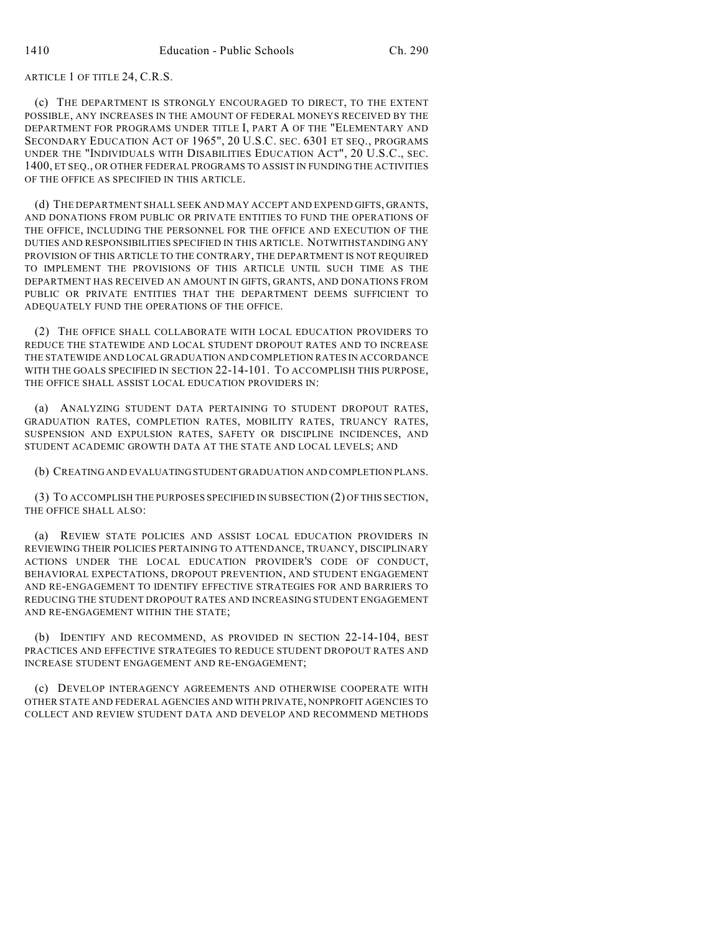ARTICLE 1 OF TITLE 24, C.R.S.

(c) THE DEPARTMENT IS STRONGLY ENCOURAGED TO DIRECT, TO THE EXTENT POSSIBLE, ANY INCREASES IN THE AMOUNT OF FEDERAL MONEYS RECEIVED BY THE DEPARTMENT FOR PROGRAMS UNDER TITLE I, PART A OF THE "ELEMENTARY AND SECONDARY EDUCATION ACT OF 1965", 20 U.S.C. SEC. 6301 ET SEQ., PROGRAMS UNDER THE "INDIVIDUALS WITH DISABILITIES EDUCATION ACT", 20 U.S.C., SEC. 1400, ET SEQ., OR OTHER FEDERAL PROGRAMS TO ASSIST IN FUNDING THE ACTIVITIES OF THE OFFICE AS SPECIFIED IN THIS ARTICLE.

(d) THE DEPARTMENT SHALL SEEK AND MAY ACCEPT AND EXPEND GIFTS, GRANTS, AND DONATIONS FROM PUBLIC OR PRIVATE ENTITIES TO FUND THE OPERATIONS OF THE OFFICE, INCLUDING THE PERSONNEL FOR THE OFFICE AND EXECUTION OF THE DUTIES AND RESPONSIBILITIES SPECIFIED IN THIS ARTICLE. NOTWITHSTANDING ANY PROVISION OF THIS ARTICLE TO THE CONTRARY, THE DEPARTMENT IS NOT REQUIRED TO IMPLEMENT THE PROVISIONS OF THIS ARTICLE UNTIL SUCH TIME AS THE DEPARTMENT HAS RECEIVED AN AMOUNT IN GIFTS, GRANTS, AND DONATIONS FROM PUBLIC OR PRIVATE ENTITIES THAT THE DEPARTMENT DEEMS SUFFICIENT TO ADEQUATELY FUND THE OPERATIONS OF THE OFFICE.

(2) THE OFFICE SHALL COLLABORATE WITH LOCAL EDUCATION PROVIDERS TO REDUCE THE STATEWIDE AND LOCAL STUDENT DROPOUT RATES AND TO INCREASE THE STATEWIDE AND LOCAL GRADUATION AND COMPLETION RATES IN ACCORDANCE WITH THE GOALS SPECIFIED IN SECTION 22-14-101. TO ACCOMPLISH THIS PURPOSE, THE OFFICE SHALL ASSIST LOCAL EDUCATION PROVIDERS IN:

(a) ANALYZING STUDENT DATA PERTAINING TO STUDENT DROPOUT RATES, GRADUATION RATES, COMPLETION RATES, MOBILITY RATES, TRUANCY RATES, SUSPENSION AND EXPULSION RATES, SAFETY OR DISCIPLINE INCIDENCES, AND STUDENT ACADEMIC GROWTH DATA AT THE STATE AND LOCAL LEVELS; AND

(b) CREATING AND EVALUATING STUDENT GRADUATION AND COMPLETION PLANS.

(3) TO ACCOMPLISH THE PURPOSES SPECIFIED IN SUBSECTION (2) OF THIS SECTION, THE OFFICE SHALL ALSO:

(a) REVIEW STATE POLICIES AND ASSIST LOCAL EDUCATION PROVIDERS IN REVIEWING THEIR POLICIES PERTAINING TO ATTENDANCE, TRUANCY, DISCIPLINARY ACTIONS UNDER THE LOCAL EDUCATION PROVIDER'S CODE OF CONDUCT, BEHAVIORAL EXPECTATIONS, DROPOUT PREVENTION, AND STUDENT ENGAGEMENT AND RE-ENGAGEMENT TO IDENTIFY EFFECTIVE STRATEGIES FOR AND BARRIERS TO REDUCING THE STUDENT DROPOUT RATES AND INCREASING STUDENT ENGAGEMENT AND RE-ENGAGEMENT WITHIN THE STATE;

(b) IDENTIFY AND RECOMMEND, AS PROVIDED IN SECTION 22-14-104, BEST PRACTICES AND EFFECTIVE STRATEGIES TO REDUCE STUDENT DROPOUT RATES AND INCREASE STUDENT ENGAGEMENT AND RE-ENGAGEMENT;

(c) DEVELOP INTERAGENCY AGREEMENTS AND OTHERWISE COOPERATE WITH OTHER STATE AND FEDERAL AGENCIES AND WITH PRIVATE, NONPROFIT AGENCIES TO COLLECT AND REVIEW STUDENT DATA AND DEVELOP AND RECOMMEND METHODS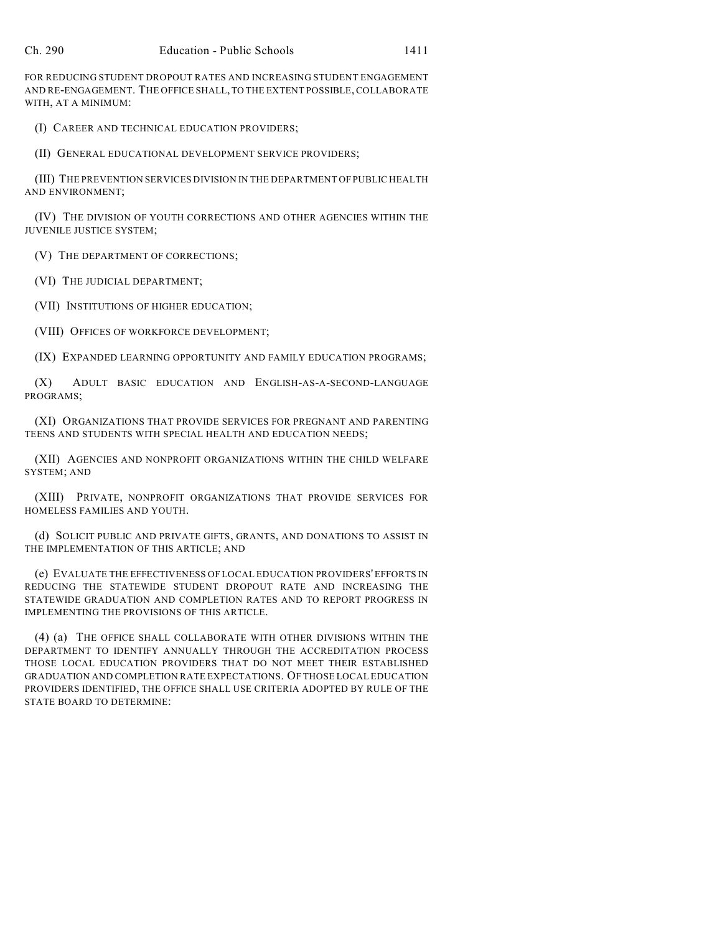FOR REDUCING STUDENT DROPOUT RATES AND INCREASING STUDENT ENGAGEMENT AND RE-ENGAGEMENT. THE OFFICE SHALL, TO THE EXTENT POSSIBLE, COLLABORATE WITH, AT A MINIMUM:

(I) CAREER AND TECHNICAL EDUCATION PROVIDERS;

(II) GENERAL EDUCATIONAL DEVELOPMENT SERVICE PROVIDERS;

(III) THE PREVENTION SERVICES DIVISION IN THE DEPARTMENT OF PUBLIC HEALTH AND ENVIRONMENT;

(IV) THE DIVISION OF YOUTH CORRECTIONS AND OTHER AGENCIES WITHIN THE JUVENILE JUSTICE SYSTEM;

(V) THE DEPARTMENT OF CORRECTIONS;

(VI) THE JUDICIAL DEPARTMENT;

(VII) INSTITUTIONS OF HIGHER EDUCATION;

(VIII) OFFICES OF WORKFORCE DEVELOPMENT;

(IX) EXPANDED LEARNING OPPORTUNITY AND FAMILY EDUCATION PROGRAMS;

(X) ADULT BASIC EDUCATION AND ENGLISH-AS-A-SECOND-LANGUAGE PROGRAMS;

(XI) ORGANIZATIONS THAT PROVIDE SERVICES FOR PREGNANT AND PARENTING TEENS AND STUDENTS WITH SPECIAL HEALTH AND EDUCATION NEEDS;

(XII) AGENCIES AND NONPROFIT ORGANIZATIONS WITHIN THE CHILD WELFARE SYSTEM; AND

(XIII) PRIVATE, NONPROFIT ORGANIZATIONS THAT PROVIDE SERVICES FOR HOMELESS FAMILIES AND YOUTH.

(d) SOLICIT PUBLIC AND PRIVATE GIFTS, GRANTS, AND DONATIONS TO ASSIST IN THE IMPLEMENTATION OF THIS ARTICLE; AND

(e) EVALUATE THE EFFECTIVENESS OF LOCAL EDUCATION PROVIDERS' EFFORTS IN REDUCING THE STATEWIDE STUDENT DROPOUT RATE AND INCREASING THE STATEWIDE GRADUATION AND COMPLETION RATES AND TO REPORT PROGRESS IN IMPLEMENTING THE PROVISIONS OF THIS ARTICLE.

(4) (a) THE OFFICE SHALL COLLABORATE WITH OTHER DIVISIONS WITHIN THE DEPARTMENT TO IDENTIFY ANNUALLY THROUGH THE ACCREDITATION PROCESS THOSE LOCAL EDUCATION PROVIDERS THAT DO NOT MEET THEIR ESTABLISHED GRADUATION AND COMPLETION RATE EXPECTATIONS. OF THOSE LOCAL EDUCATION PROVIDERS IDENTIFIED, THE OFFICE SHALL USE CRITERIA ADOPTED BY RULE OF THE STATE BOARD TO DETERMINE: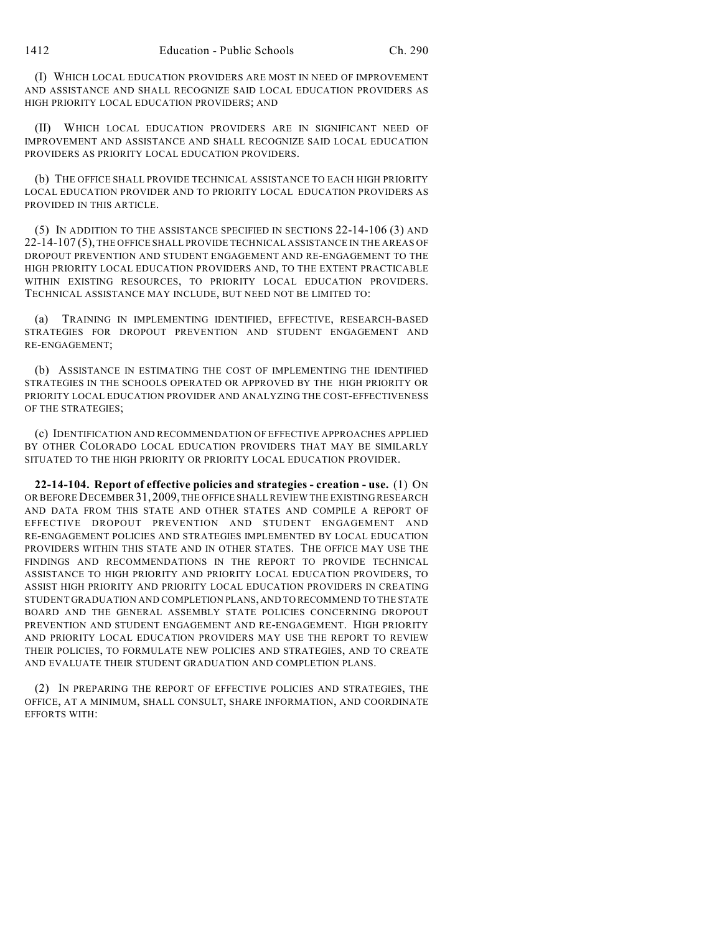(I) WHICH LOCAL EDUCATION PROVIDERS ARE MOST IN NEED OF IMPROVEMENT AND ASSISTANCE AND SHALL RECOGNIZE SAID LOCAL EDUCATION PROVIDERS AS HIGH PRIORITY LOCAL EDUCATION PROVIDERS; AND

(II) WHICH LOCAL EDUCATION PROVIDERS ARE IN SIGNIFICANT NEED OF IMPROVEMENT AND ASSISTANCE AND SHALL RECOGNIZE SAID LOCAL EDUCATION PROVIDERS AS PRIORITY LOCAL EDUCATION PROVIDERS.

(b) THE OFFICE SHALL PROVIDE TECHNICAL ASSISTANCE TO EACH HIGH PRIORITY LOCAL EDUCATION PROVIDER AND TO PRIORITY LOCAL EDUCATION PROVIDERS AS PROVIDED IN THIS ARTICLE.

(5) IN ADDITION TO THE ASSISTANCE SPECIFIED IN SECTIONS 22-14-106 (3) AND 22-14-107 (5), THE OFFICE SHALL PROVIDE TECHNICAL ASSISTANCE IN THE AREAS OF DROPOUT PREVENTION AND STUDENT ENGAGEMENT AND RE-ENGAGEMENT TO THE HIGH PRIORITY LOCAL EDUCATION PROVIDERS AND, TO THE EXTENT PRACTICABLE WITHIN EXISTING RESOURCES, TO PRIORITY LOCAL EDUCATION PROVIDERS. TECHNICAL ASSISTANCE MAY INCLUDE, BUT NEED NOT BE LIMITED TO:

(a) TRAINING IN IMPLEMENTING IDENTIFIED, EFFECTIVE, RESEARCH-BASED STRATEGIES FOR DROPOUT PREVENTION AND STUDENT ENGAGEMENT AND RE-ENGAGEMENT;

(b) ASSISTANCE IN ESTIMATING THE COST OF IMPLEMENTING THE IDENTIFIED STRATEGIES IN THE SCHOOLS OPERATED OR APPROVED BY THE HIGH PRIORITY OR PRIORITY LOCAL EDUCATION PROVIDER AND ANALYZING THE COST-EFFECTIVENESS OF THE STRATEGIES;

(c) IDENTIFICATION AND RECOMMENDATION OF EFFECTIVE APPROACHES APPLIED BY OTHER COLORADO LOCAL EDUCATION PROVIDERS THAT MAY BE SIMILARLY SITUATED TO THE HIGH PRIORITY OR PRIORITY LOCAL EDUCATION PROVIDER.

**22-14-104. Report of effective policies and strategies - creation - use.** (1) ON OR BEFORE DECEMBER31,2009, THE OFFICE SHALL REVIEW THE EXISTING RESEARCH AND DATA FROM THIS STATE AND OTHER STATES AND COMPILE A REPORT OF EFFECTIVE DROPOUT PREVENTION AND STUDENT ENGAGEMENT AND RE-ENGAGEMENT POLICIES AND STRATEGIES IMPLEMENTED BY LOCAL EDUCATION PROVIDERS WITHIN THIS STATE AND IN OTHER STATES. THE OFFICE MAY USE THE FINDINGS AND RECOMMENDATIONS IN THE REPORT TO PROVIDE TECHNICAL ASSISTANCE TO HIGH PRIORITY AND PRIORITY LOCAL EDUCATION PROVIDERS, TO ASSIST HIGH PRIORITY AND PRIORITY LOCAL EDUCATION PROVIDERS IN CREATING STUDENT GRADUATION AND COMPLETION PLANS, AND TO RECOMMEND TO THE STATE BOARD AND THE GENERAL ASSEMBLY STATE POLICIES CONCERNING DROPOUT PREVENTION AND STUDENT ENGAGEMENT AND RE-ENGAGEMENT. HIGH PRIORITY AND PRIORITY LOCAL EDUCATION PROVIDERS MAY USE THE REPORT TO REVIEW THEIR POLICIES, TO FORMULATE NEW POLICIES AND STRATEGIES, AND TO CREATE AND EVALUATE THEIR STUDENT GRADUATION AND COMPLETION PLANS.

(2) IN PREPARING THE REPORT OF EFFECTIVE POLICIES AND STRATEGIES, THE OFFICE, AT A MINIMUM, SHALL CONSULT, SHARE INFORMATION, AND COORDINATE EFFORTS WITH: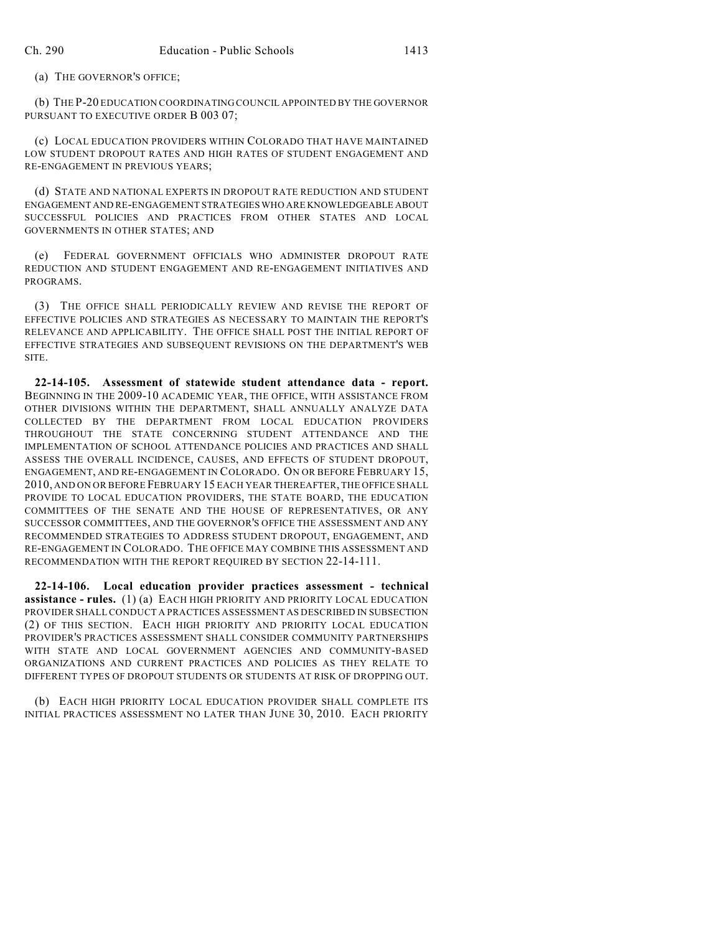(a) THE GOVERNOR'S OFFICE;

(b) THE P-20 EDUCATION COORDINATING COUNCIL APPOINTED BY THE GOVERNOR PURSUANT TO EXECUTIVE ORDER B 003 07;

(c) LOCAL EDUCATION PROVIDERS WITHIN COLORADO THAT HAVE MAINTAINED LOW STUDENT DROPOUT RATES AND HIGH RATES OF STUDENT ENGAGEMENT AND RE-ENGAGEMENT IN PREVIOUS YEARS;

(d) STATE AND NATIONAL EXPERTS IN DROPOUT RATE REDUCTION AND STUDENT ENGAGEMENT AND RE-ENGAGEMENT STRATEGIES WHO ARE KNOWLEDGEABLE ABOUT SUCCESSFUL POLICIES AND PRACTICES FROM OTHER STATES AND LOCAL GOVERNMENTS IN OTHER STATES; AND

(e) FEDERAL GOVERNMENT OFFICIALS WHO ADMINISTER DROPOUT RATE REDUCTION AND STUDENT ENGAGEMENT AND RE-ENGAGEMENT INITIATIVES AND PROGRAMS.

(3) THE OFFICE SHALL PERIODICALLY REVIEW AND REVISE THE REPORT OF EFFECTIVE POLICIES AND STRATEGIES AS NECESSARY TO MAINTAIN THE REPORT'S RELEVANCE AND APPLICABILITY. THE OFFICE SHALL POST THE INITIAL REPORT OF EFFECTIVE STRATEGIES AND SUBSEQUENT REVISIONS ON THE DEPARTMENT'S WEB SITE.

**22-14-105. Assessment of statewide student attendance data - report.** BEGINNING IN THE 2009-10 ACADEMIC YEAR, THE OFFICE, WITH ASSISTANCE FROM OTHER DIVISIONS WITHIN THE DEPARTMENT, SHALL ANNUALLY ANALYZE DATA COLLECTED BY THE DEPARTMENT FROM LOCAL EDUCATION PROVIDERS THROUGHOUT THE STATE CONCERNING STUDENT ATTENDANCE AND THE IMPLEMENTATION OF SCHOOL ATTENDANCE POLICIES AND PRACTICES AND SHALL ASSESS THE OVERALL INCIDENCE, CAUSES, AND EFFECTS OF STUDENT DROPOUT, ENGAGEMENT, AND RE-ENGAGEMENT IN COLORADO. ON OR BEFORE FEBRUARY 15, 2010, AND ON OR BEFORE FEBRUARY 15 EACH YEAR THEREAFTER, THE OFFICE SHALL PROVIDE TO LOCAL EDUCATION PROVIDERS, THE STATE BOARD, THE EDUCATION COMMITTEES OF THE SENATE AND THE HOUSE OF REPRESENTATIVES, OR ANY SUCCESSOR COMMITTEES, AND THE GOVERNOR'S OFFICE THE ASSESSMENT AND ANY RECOMMENDED STRATEGIES TO ADDRESS STUDENT DROPOUT, ENGAGEMENT, AND RE-ENGAGEMENT IN COLORADO. THE OFFICE MAY COMBINE THIS ASSESSMENT AND RECOMMENDATION WITH THE REPORT REQUIRED BY SECTION 22-14-111.

**22-14-106. Local education provider practices assessment - technical assistance - rules.** (1) (a) EACH HIGH PRIORITY AND PRIORITY LOCAL EDUCATION PROVIDER SHALL CONDUCT A PRACTICES ASSESSMENT AS DESCRIBED IN SUBSECTION (2) OF THIS SECTION. EACH HIGH PRIORITY AND PRIORITY LOCAL EDUCATION PROVIDER'S PRACTICES ASSESSMENT SHALL CONSIDER COMMUNITY PARTNERSHIPS WITH STATE AND LOCAL GOVERNMENT AGENCIES AND COMMUNITY-BASED ORGANIZATIONS AND CURRENT PRACTICES AND POLICIES AS THEY RELATE TO DIFFERENT TYPES OF DROPOUT STUDENTS OR STUDENTS AT RISK OF DROPPING OUT.

(b) EACH HIGH PRIORITY LOCAL EDUCATION PROVIDER SHALL COMPLETE ITS INITIAL PRACTICES ASSESSMENT NO LATER THAN JUNE 30, 2010. EACH PRIORITY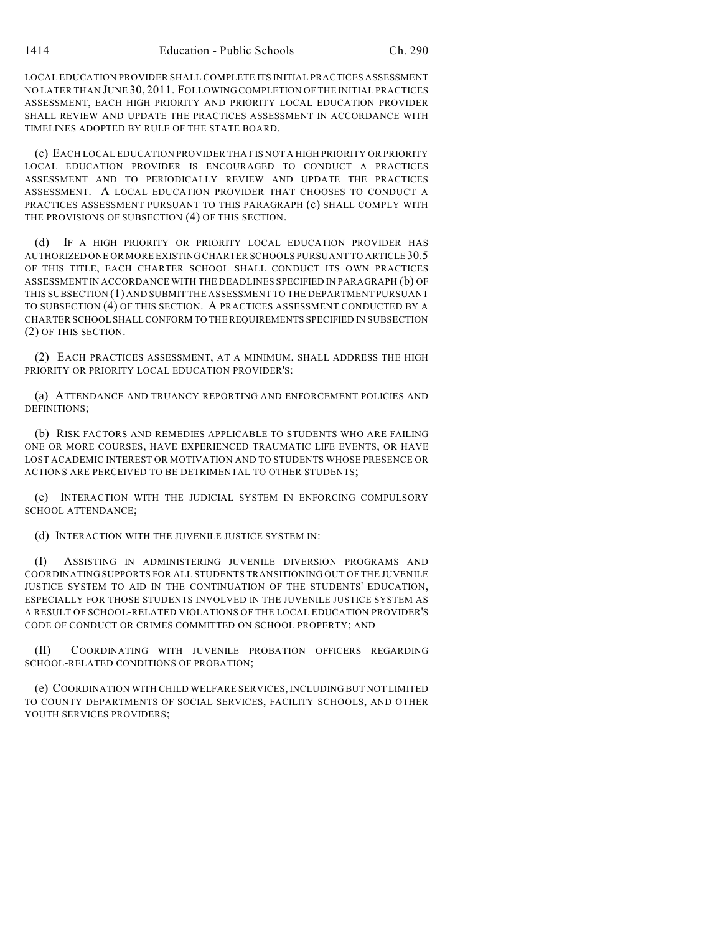LOCAL EDUCATION PROVIDER SHALL COMPLETE ITS INITIAL PRACTICES ASSESSMENT NO LATER THAN JUNE 30, 2011. FOLLOWING COMPLETION OF THE INITIAL PRACTICES ASSESSMENT, EACH HIGH PRIORITY AND PRIORITY LOCAL EDUCATION PROVIDER SHALL REVIEW AND UPDATE THE PRACTICES ASSESSMENT IN ACCORDANCE WITH TIMELINES ADOPTED BY RULE OF THE STATE BOARD.

(c) EACH LOCAL EDUCATION PROVIDER THAT IS NOT A HIGH PRIORITY OR PRIORITY LOCAL EDUCATION PROVIDER IS ENCOURAGED TO CONDUCT A PRACTICES ASSESSMENT AND TO PERIODICALLY REVIEW AND UPDATE THE PRACTICES ASSESSMENT. A LOCAL EDUCATION PROVIDER THAT CHOOSES TO CONDUCT A PRACTICES ASSESSMENT PURSUANT TO THIS PARAGRAPH (c) SHALL COMPLY WITH THE PROVISIONS OF SUBSECTION (4) OF THIS SECTION.

(d) IF A HIGH PRIORITY OR PRIORITY LOCAL EDUCATION PROVIDER HAS AUTHORIZED ONE OR MORE EXISTING CHARTER SCHOOLS PURSUANT TO ARTICLE 30.5 OF THIS TITLE, EACH CHARTER SCHOOL SHALL CONDUCT ITS OWN PRACTICES ASSESSMENT IN ACCORDANCE WITH THE DEADLINES SPECIFIED IN PARAGRAPH (b) OF THIS SUBSECTION (1) AND SUBMIT THE ASSESSMENT TO THE DEPARTMENT PURSUANT TO SUBSECTION (4) OF THIS SECTION. A PRACTICES ASSESSMENT CONDUCTED BY A CHARTER SCHOOL SHALL CONFORM TO THE REQUIREMENTS SPECIFIED IN SUBSECTION (2) OF THIS SECTION.

(2) EACH PRACTICES ASSESSMENT, AT A MINIMUM, SHALL ADDRESS THE HIGH PRIORITY OR PRIORITY LOCAL EDUCATION PROVIDER'S:

(a) ATTENDANCE AND TRUANCY REPORTING AND ENFORCEMENT POLICIES AND DEFINITIONS;

(b) RISK FACTORS AND REMEDIES APPLICABLE TO STUDENTS WHO ARE FAILING ONE OR MORE COURSES, HAVE EXPERIENCED TRAUMATIC LIFE EVENTS, OR HAVE LOST ACADEMIC INTEREST OR MOTIVATION AND TO STUDENTS WHOSE PRESENCE OR ACTIONS ARE PERCEIVED TO BE DETRIMENTAL TO OTHER STUDENTS;

(c) INTERACTION WITH THE JUDICIAL SYSTEM IN ENFORCING COMPULSORY SCHOOL ATTENDANCE;

(d) INTERACTION WITH THE JUVENILE JUSTICE SYSTEM IN:

(I) ASSISTING IN ADMINISTERING JUVENILE DIVERSION PROGRAMS AND COORDINATING SUPPORTS FOR ALL STUDENTS TRANSITIONING OUT OF THE JUVENILE JUSTICE SYSTEM TO AID IN THE CONTINUATION OF THE STUDENTS' EDUCATION, ESPECIALLY FOR THOSE STUDENTS INVOLVED IN THE JUVENILE JUSTICE SYSTEM AS A RESULT OF SCHOOL-RELATED VIOLATIONS OF THE LOCAL EDUCATION PROVIDER'S CODE OF CONDUCT OR CRIMES COMMITTED ON SCHOOL PROPERTY; AND

(II) COORDINATING WITH JUVENILE PROBATION OFFICERS REGARDING SCHOOL-RELATED CONDITIONS OF PROBATION;

(e) COORDINATION WITH CHILD WELFARE SERVICES, INCLUDING BUT NOT LIMITED TO COUNTY DEPARTMENTS OF SOCIAL SERVICES, FACILITY SCHOOLS, AND OTHER YOUTH SERVICES PROVIDERS;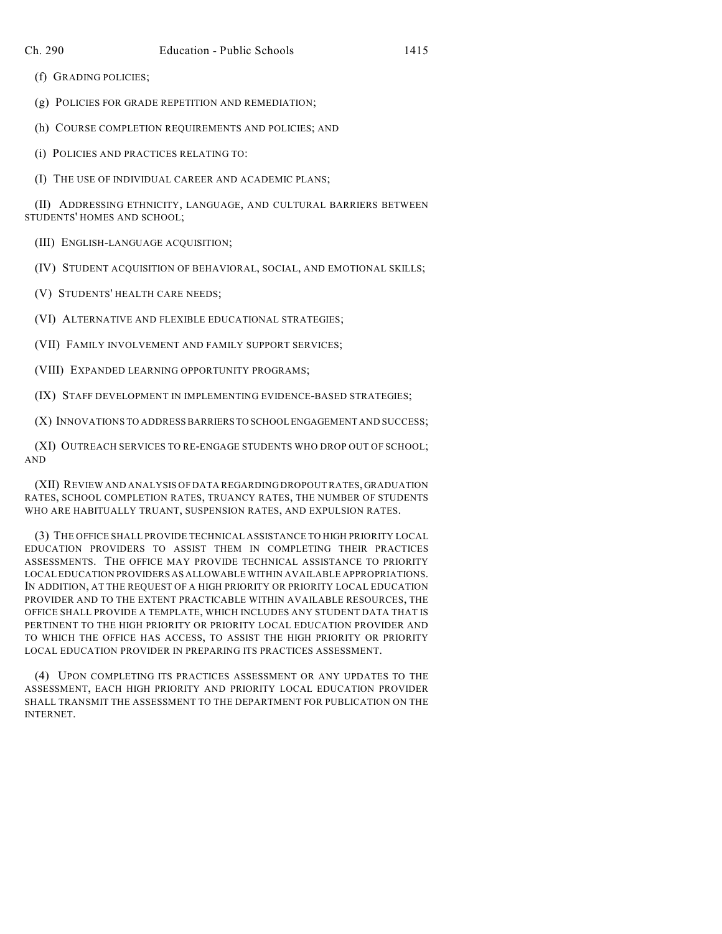(f) GRADING POLICIES;

(g) POLICIES FOR GRADE REPETITION AND REMEDIATION;

(h) COURSE COMPLETION REQUIREMENTS AND POLICIES; AND

(i) POLICIES AND PRACTICES RELATING TO:

(I) THE USE OF INDIVIDUAL CAREER AND ACADEMIC PLANS;

(II) ADDRESSING ETHNICITY, LANGUAGE, AND CULTURAL BARRIERS BETWEEN STUDENTS' HOMES AND SCHOOL;

(III) ENGLISH-LANGUAGE ACQUISITION;

(IV) STUDENT ACQUISITION OF BEHAVIORAL, SOCIAL, AND EMOTIONAL SKILLS;

(V) STUDENTS' HEALTH CARE NEEDS;

(VI) ALTERNATIVE AND FLEXIBLE EDUCATIONAL STRATEGIES;

(VII) FAMILY INVOLVEMENT AND FAMILY SUPPORT SERVICES;

(VIII) EXPANDED LEARNING OPPORTUNITY PROGRAMS;

(IX) STAFF DEVELOPMENT IN IMPLEMENTING EVIDENCE-BASED STRATEGIES;

(X) INNOVATIONS TO ADDRESS BARRIERS TO SCHOOL ENGAGEMENT AND SUCCESS;

(XI) OUTREACH SERVICES TO RE-ENGAGE STUDENTS WHO DROP OUT OF SCHOOL; AND

(XII) REVIEW AND ANALYSIS OF DATA REGARDING DROPOUT RATES, GRADUATION RATES, SCHOOL COMPLETION RATES, TRUANCY RATES, THE NUMBER OF STUDENTS WHO ARE HABITUALLY TRUANT, SUSPENSION RATES, AND EXPULSION RATES.

(3) THE OFFICE SHALL PROVIDE TECHNICAL ASSISTANCE TO HIGH PRIORITY LOCAL EDUCATION PROVIDERS TO ASSIST THEM IN COMPLETING THEIR PRACTICES ASSESSMENTS. THE OFFICE MAY PROVIDE TECHNICAL ASSISTANCE TO PRIORITY LOCAL EDUCATION PROVIDERS AS ALLOWABLE WITHIN AVAILABLE APPROPRIATIONS. IN ADDITION, AT THE REQUEST OF A HIGH PRIORITY OR PRIORITY LOCAL EDUCATION PROVIDER AND TO THE EXTENT PRACTICABLE WITHIN AVAILABLE RESOURCES, THE OFFICE SHALL PROVIDE A TEMPLATE, WHICH INCLUDES ANY STUDENT DATA THAT IS PERTINENT TO THE HIGH PRIORITY OR PRIORITY LOCAL EDUCATION PROVIDER AND TO WHICH THE OFFICE HAS ACCESS, TO ASSIST THE HIGH PRIORITY OR PRIORITY LOCAL EDUCATION PROVIDER IN PREPARING ITS PRACTICES ASSESSMENT.

(4) UPON COMPLETING ITS PRACTICES ASSESSMENT OR ANY UPDATES TO THE ASSESSMENT, EACH HIGH PRIORITY AND PRIORITY LOCAL EDUCATION PROVIDER SHALL TRANSMIT THE ASSESSMENT TO THE DEPARTMENT FOR PUBLICATION ON THE INTERNET.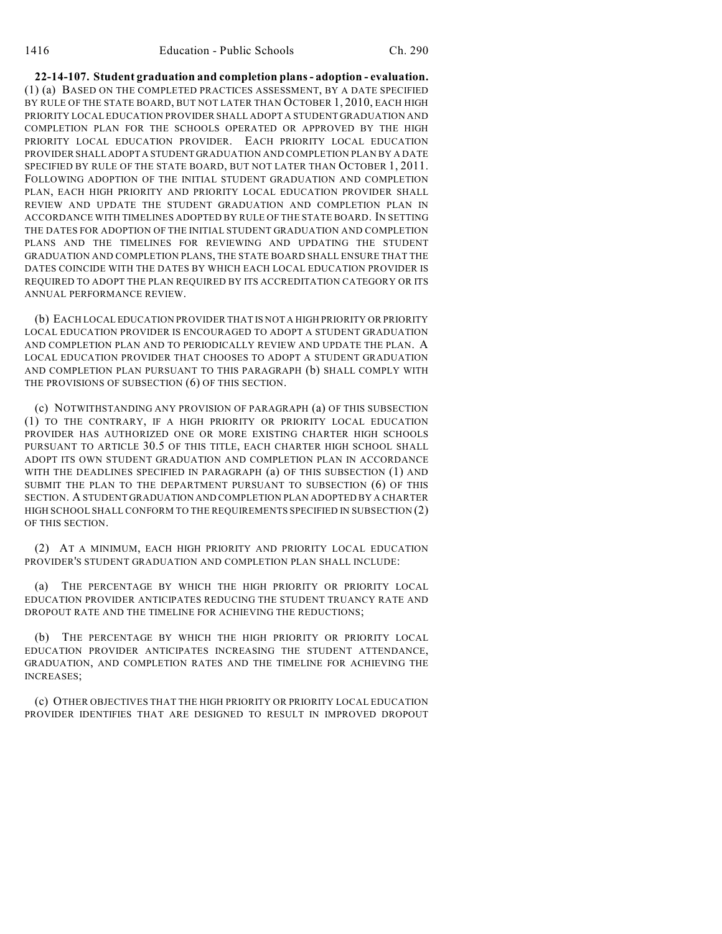**22-14-107. Student graduation and completion plans - adoption - evaluation.** (1) (a) BASED ON THE COMPLETED PRACTICES ASSESSMENT, BY A DATE SPECIFIED BY RULE OF THE STATE BOARD, BUT NOT LATER THAN OCTOBER 1, 2010, EACH HIGH PRIORITY LOCAL EDUCATION PROVIDER SHALL ADOPT A STUDENT GRADUATION AND COMPLETION PLAN FOR THE SCHOOLS OPERATED OR APPROVED BY THE HIGH PRIORITY LOCAL EDUCATION PROVIDER. EACH PRIORITY LOCAL EDUCATION PROVIDER SHALL ADOPT A STUDENT GRADUATION AND COMPLETION PLAN BY A DATE SPECIFIED BY RULE OF THE STATE BOARD, BUT NOT LATER THAN OCTOBER 1, 2011. FOLLOWING ADOPTION OF THE INITIAL STUDENT GRADUATION AND COMPLETION PLAN, EACH HIGH PRIORITY AND PRIORITY LOCAL EDUCATION PROVIDER SHALL REVIEW AND UPDATE THE STUDENT GRADUATION AND COMPLETION PLAN IN ACCORDANCE WITH TIMELINES ADOPTED BY RULE OF THE STATE BOARD. IN SETTING THE DATES FOR ADOPTION OF THE INITIAL STUDENT GRADUATION AND COMPLETION PLANS AND THE TIMELINES FOR REVIEWING AND UPDATING THE STUDENT GRADUATION AND COMPLETION PLANS, THE STATE BOARD SHALL ENSURE THAT THE DATES COINCIDE WITH THE DATES BY WHICH EACH LOCAL EDUCATION PROVIDER IS REQUIRED TO ADOPT THE PLAN REQUIRED BY ITS ACCREDITATION CATEGORY OR ITS ANNUAL PERFORMANCE REVIEW.

(b) EACH LOCAL EDUCATION PROVIDER THAT IS NOT A HIGH PRIORITY OR PRIORITY LOCAL EDUCATION PROVIDER IS ENCOURAGED TO ADOPT A STUDENT GRADUATION AND COMPLETION PLAN AND TO PERIODICALLY REVIEW AND UPDATE THE PLAN. A LOCAL EDUCATION PROVIDER THAT CHOOSES TO ADOPT A STUDENT GRADUATION AND COMPLETION PLAN PURSUANT TO THIS PARAGRAPH (b) SHALL COMPLY WITH THE PROVISIONS OF SUBSECTION (6) OF THIS SECTION.

(c) NOTWITHSTANDING ANY PROVISION OF PARAGRAPH (a) OF THIS SUBSECTION (1) TO THE CONTRARY, IF A HIGH PRIORITY OR PRIORITY LOCAL EDUCATION PROVIDER HAS AUTHORIZED ONE OR MORE EXISTING CHARTER HIGH SCHOOLS PURSUANT TO ARTICLE 30.5 OF THIS TITLE, EACH CHARTER HIGH SCHOOL SHALL ADOPT ITS OWN STUDENT GRADUATION AND COMPLETION PLAN IN ACCORDANCE WITH THE DEADLINES SPECIFIED IN PARAGRAPH (a) OF THIS SUBSECTION (1) AND SUBMIT THE PLAN TO THE DEPARTMENT PURSUANT TO SUBSECTION (6) OF THIS SECTION. A STUDENT GRADUATION AND COMPLETION PLAN ADOPTED BY A CHARTER HIGH SCHOOL SHALL CONFORM TO THE REQUIREMENTS SPECIFIED IN SUBSECTION (2) OF THIS SECTION.

(2) AT A MINIMUM, EACH HIGH PRIORITY AND PRIORITY LOCAL EDUCATION PROVIDER'S STUDENT GRADUATION AND COMPLETION PLAN SHALL INCLUDE:

(a) THE PERCENTAGE BY WHICH THE HIGH PRIORITY OR PRIORITY LOCAL EDUCATION PROVIDER ANTICIPATES REDUCING THE STUDENT TRUANCY RATE AND DROPOUT RATE AND THE TIMELINE FOR ACHIEVING THE REDUCTIONS;

(b) THE PERCENTAGE BY WHICH THE HIGH PRIORITY OR PRIORITY LOCAL EDUCATION PROVIDER ANTICIPATES INCREASING THE STUDENT ATTENDANCE, GRADUATION, AND COMPLETION RATES AND THE TIMELINE FOR ACHIEVING THE INCREASES;

(c) OTHER OBJECTIVES THAT THE HIGH PRIORITY OR PRIORITY LOCAL EDUCATION PROVIDER IDENTIFIES THAT ARE DESIGNED TO RESULT IN IMPROVED DROPOUT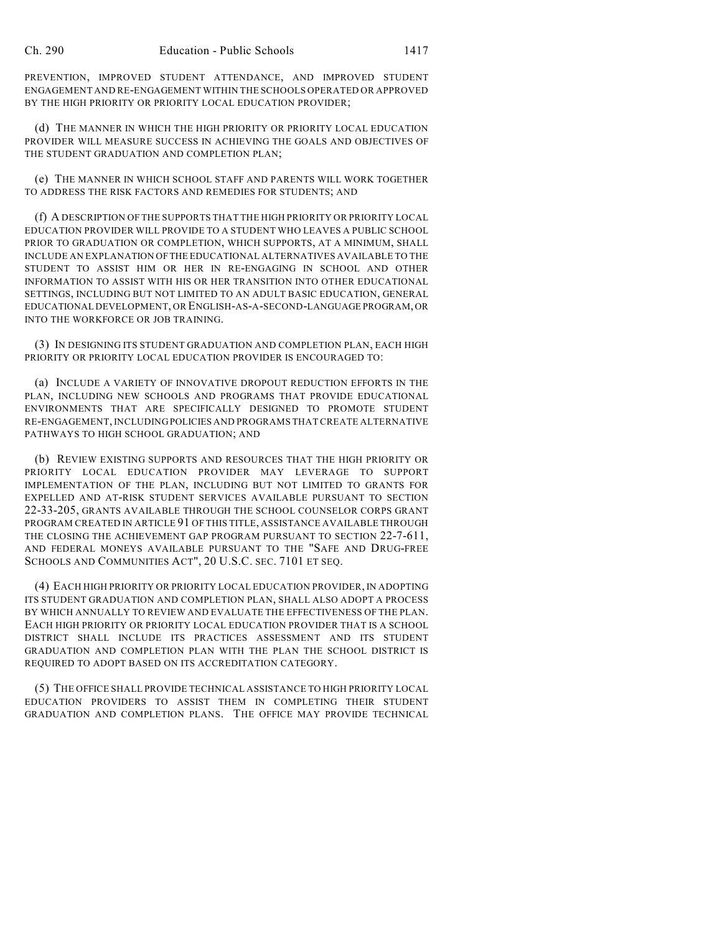PREVENTION, IMPROVED STUDENT ATTENDANCE, AND IMPROVED STUDENT ENGAGEMENT AND RE-ENGAGEMENT WITHIN THE SCHOOLS OPERATED OR APPROVED BY THE HIGH PRIORITY OR PRIORITY LOCAL EDUCATION PROVIDER;

(d) THE MANNER IN WHICH THE HIGH PRIORITY OR PRIORITY LOCAL EDUCATION PROVIDER WILL MEASURE SUCCESS IN ACHIEVING THE GOALS AND OBJECTIVES OF THE STUDENT GRADUATION AND COMPLETION PLAN;

(e) THE MANNER IN WHICH SCHOOL STAFF AND PARENTS WILL WORK TOGETHER TO ADDRESS THE RISK FACTORS AND REMEDIES FOR STUDENTS; AND

(f) A DESCRIPTION OF THE SUPPORTS THAT THE HIGH PRIORITY OR PRIORITY LOCAL EDUCATION PROVIDER WILL PROVIDE TO A STUDENT WHO LEAVES A PUBLIC SCHOOL PRIOR TO GRADUATION OR COMPLETION, WHICH SUPPORTS, AT A MINIMUM, SHALL INCLUDE AN EXPLANATION OF THE EDUCATIONAL ALTERNATIVES AVAILABLE TO THE STUDENT TO ASSIST HIM OR HER IN RE-ENGAGING IN SCHOOL AND OTHER INFORMATION TO ASSIST WITH HIS OR HER TRANSITION INTO OTHER EDUCATIONAL SETTINGS, INCLUDING BUT NOT LIMITED TO AN ADULT BASIC EDUCATION, GENERAL EDUCATIONAL DEVELOPMENT, OR ENGLISH-AS-A-SECOND-LANGUAGE PROGRAM, OR INTO THE WORKFORCE OR JOB TRAINING.

(3) IN DESIGNING ITS STUDENT GRADUATION AND COMPLETION PLAN, EACH HIGH PRIORITY OR PRIORITY LOCAL EDUCATION PROVIDER IS ENCOURAGED TO:

(a) INCLUDE A VARIETY OF INNOVATIVE DROPOUT REDUCTION EFFORTS IN THE PLAN, INCLUDING NEW SCHOOLS AND PROGRAMS THAT PROVIDE EDUCATIONAL ENVIRONMENTS THAT ARE SPECIFICALLY DESIGNED TO PROMOTE STUDENT RE-ENGAGEMENT, INCLUDING POLICIES AND PROGRAMS THAT CREATE ALTERNATIVE PATHWAYS TO HIGH SCHOOL GRADUATION; AND

(b) REVIEW EXISTING SUPPORTS AND RESOURCES THAT THE HIGH PRIORITY OR PRIORITY LOCAL EDUCATION PROVIDER MAY LEVERAGE TO SUPPORT IMPLEMENTATION OF THE PLAN, INCLUDING BUT NOT LIMITED TO GRANTS FOR EXPELLED AND AT-RISK STUDENT SERVICES AVAILABLE PURSUANT TO SECTION 22-33-205, GRANTS AVAILABLE THROUGH THE SCHOOL COUNSELOR CORPS GRANT PROGRAM CREATED IN ARTICLE 91 OF THIS TITLE, ASSISTANCE AVAILABLE THROUGH THE CLOSING THE ACHIEVEMENT GAP PROGRAM PURSUANT TO SECTION 22-7-611, AND FEDERAL MONEYS AVAILABLE PURSUANT TO THE "SAFE AND DRUG-FREE SCHOOLS AND COMMUNITIES ACT", 20 U.S.C. SEC. 7101 ET SEQ.

(4) EACH HIGH PRIORITY OR PRIORITY LOCAL EDUCATION PROVIDER, IN ADOPTING ITS STUDENT GRADUATION AND COMPLETION PLAN, SHALL ALSO ADOPT A PROCESS BY WHICH ANNUALLY TO REVIEW AND EVALUATE THE EFFECTIVENESS OF THE PLAN. EACH HIGH PRIORITY OR PRIORITY LOCAL EDUCATION PROVIDER THAT IS A SCHOOL DISTRICT SHALL INCLUDE ITS PRACTICES ASSESSMENT AND ITS STUDENT GRADUATION AND COMPLETION PLAN WITH THE PLAN THE SCHOOL DISTRICT IS REQUIRED TO ADOPT BASED ON ITS ACCREDITATION CATEGORY.

(5) THE OFFICE SHALL PROVIDE TECHNICAL ASSISTANCE TO HIGH PRIORITY LOCAL EDUCATION PROVIDERS TO ASSIST THEM IN COMPLETING THEIR STUDENT GRADUATION AND COMPLETION PLANS. THE OFFICE MAY PROVIDE TECHNICAL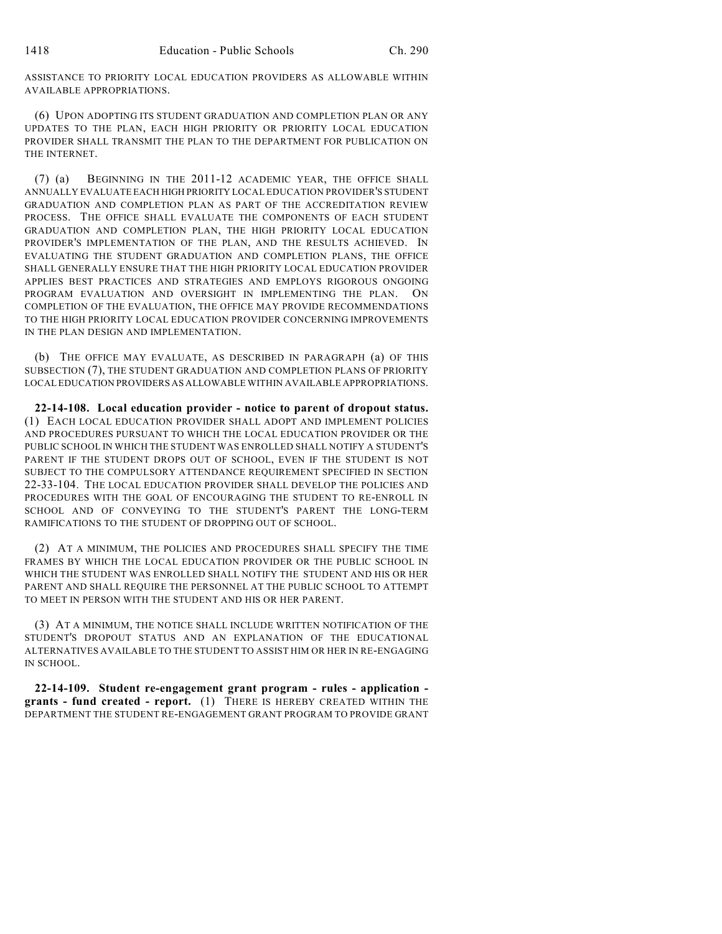ASSISTANCE TO PRIORITY LOCAL EDUCATION PROVIDERS AS ALLOWABLE WITHIN AVAILABLE APPROPRIATIONS.

(6) UPON ADOPTING ITS STUDENT GRADUATION AND COMPLETION PLAN OR ANY UPDATES TO THE PLAN, EACH HIGH PRIORITY OR PRIORITY LOCAL EDUCATION PROVIDER SHALL TRANSMIT THE PLAN TO THE DEPARTMENT FOR PUBLICATION ON THE INTERNET.

(7) (a) BEGINNING IN THE 2011-12 ACADEMIC YEAR, THE OFFICE SHALL ANNUALLY EVALUATE EACH HIGH PRIORITY LOCAL EDUCATION PROVIDER'S STUDENT GRADUATION AND COMPLETION PLAN AS PART OF THE ACCREDITATION REVIEW PROCESS. THE OFFICE SHALL EVALUATE THE COMPONENTS OF EACH STUDENT GRADUATION AND COMPLETION PLAN, THE HIGH PRIORITY LOCAL EDUCATION PROVIDER'S IMPLEMENTATION OF THE PLAN, AND THE RESULTS ACHIEVED. IN EVALUATING THE STUDENT GRADUATION AND COMPLETION PLANS, THE OFFICE SHALL GENERALLY ENSURE THAT THE HIGH PRIORITY LOCAL EDUCATION PROVIDER APPLIES BEST PRACTICES AND STRATEGIES AND EMPLOYS RIGOROUS ONGOING PROGRAM EVALUATION AND OVERSIGHT IN IMPLEMENTING THE PLAN. ON COMPLETION OF THE EVALUATION, THE OFFICE MAY PROVIDE RECOMMENDATIONS TO THE HIGH PRIORITY LOCAL EDUCATION PROVIDER CONCERNING IMPROVEMENTS IN THE PLAN DESIGN AND IMPLEMENTATION.

(b) THE OFFICE MAY EVALUATE, AS DESCRIBED IN PARAGRAPH (a) OF THIS SUBSECTION (7), THE STUDENT GRADUATION AND COMPLETION PLANS OF PRIORITY LOCAL EDUCATION PROVIDERS AS ALLOWABLE WITHIN AVAILABLE APPROPRIATIONS.

**22-14-108. Local education provider - notice to parent of dropout status.** (1) EACH LOCAL EDUCATION PROVIDER SHALL ADOPT AND IMPLEMENT POLICIES AND PROCEDURES PURSUANT TO WHICH THE LOCAL EDUCATION PROVIDER OR THE PUBLIC SCHOOL IN WHICH THE STUDENT WAS ENROLLED SHALL NOTIFY A STUDENT'S PARENT IF THE STUDENT DROPS OUT OF SCHOOL, EVEN IF THE STUDENT IS NOT SUBJECT TO THE COMPULSORY ATTENDANCE REQUIREMENT SPECIFIED IN SECTION 22-33-104. THE LOCAL EDUCATION PROVIDER SHALL DEVELOP THE POLICIES AND PROCEDURES WITH THE GOAL OF ENCOURAGING THE STUDENT TO RE-ENROLL IN SCHOOL AND OF CONVEYING TO THE STUDENT'S PARENT THE LONG-TERM RAMIFICATIONS TO THE STUDENT OF DROPPING OUT OF SCHOOL.

(2) AT A MINIMUM, THE POLICIES AND PROCEDURES SHALL SPECIFY THE TIME FRAMES BY WHICH THE LOCAL EDUCATION PROVIDER OR THE PUBLIC SCHOOL IN WHICH THE STUDENT WAS ENROLLED SHALL NOTIFY THE STUDENT AND HIS OR HER PARENT AND SHALL REQUIRE THE PERSONNEL AT THE PUBLIC SCHOOL TO ATTEMPT TO MEET IN PERSON WITH THE STUDENT AND HIS OR HER PARENT.

(3) AT A MINIMUM, THE NOTICE SHALL INCLUDE WRITTEN NOTIFICATION OF THE STUDENT'S DROPOUT STATUS AND AN EXPLANATION OF THE EDUCATIONAL ALTERNATIVES AVAILABLE TO THE STUDENT TO ASSIST HIM OR HER IN RE-ENGAGING IN SCHOOL.

**22-14-109. Student re-engagement grant program - rules - application grants - fund created - report.** (1) THERE IS HEREBY CREATED WITHIN THE DEPARTMENT THE STUDENT RE-ENGAGEMENT GRANT PROGRAM TO PROVIDE GRANT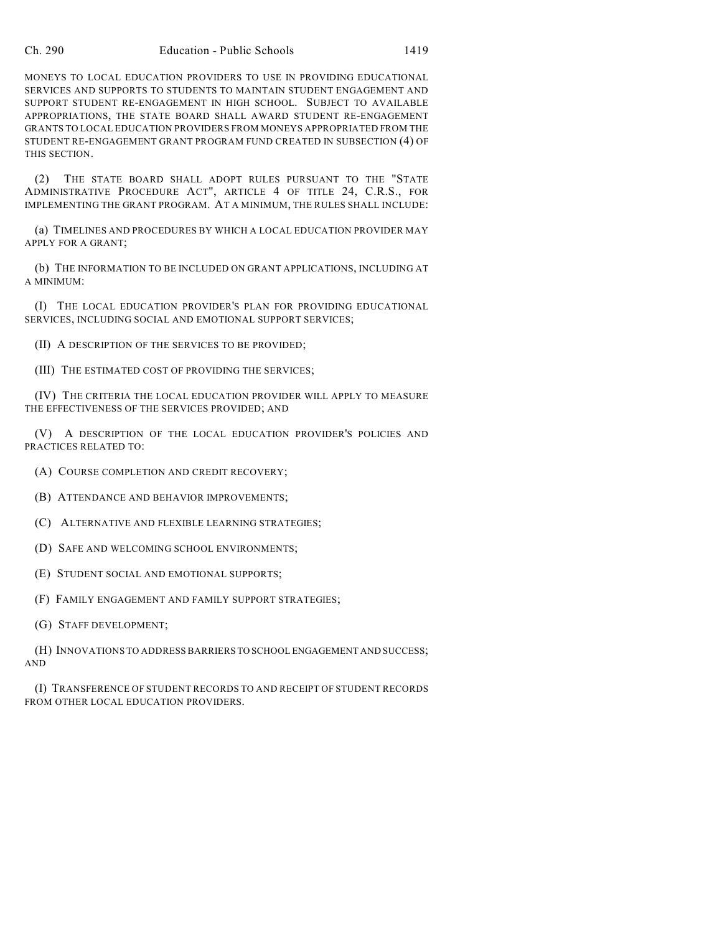MONEYS TO LOCAL EDUCATION PROVIDERS TO USE IN PROVIDING EDUCATIONAL SERVICES AND SUPPORTS TO STUDENTS TO MAINTAIN STUDENT ENGAGEMENT AND SUPPORT STUDENT RE-ENGAGEMENT IN HIGH SCHOOL. SUBJECT TO AVAILABLE APPROPRIATIONS, THE STATE BOARD SHALL AWARD STUDENT RE-ENGAGEMENT GRANTS TO LOCAL EDUCATION PROVIDERS FROM MONEYS APPROPRIATED FROM THE STUDENT RE-ENGAGEMENT GRANT PROGRAM FUND CREATED IN SUBSECTION (4) OF THIS SECTION.

(2) THE STATE BOARD SHALL ADOPT RULES PURSUANT TO THE "STATE ADMINISTRATIVE PROCEDURE ACT", ARTICLE 4 OF TITLE 24, C.R.S., FOR IMPLEMENTING THE GRANT PROGRAM. AT A MINIMUM, THE RULES SHALL INCLUDE:

(a) TIMELINES AND PROCEDURES BY WHICH A LOCAL EDUCATION PROVIDER MAY APPLY FOR A GRANT;

(b) THE INFORMATION TO BE INCLUDED ON GRANT APPLICATIONS, INCLUDING AT A MINIMUM:

(I) THE LOCAL EDUCATION PROVIDER'S PLAN FOR PROVIDING EDUCATIONAL SERVICES, INCLUDING SOCIAL AND EMOTIONAL SUPPORT SERVICES;

(II) A DESCRIPTION OF THE SERVICES TO BE PROVIDED;

(III) THE ESTIMATED COST OF PROVIDING THE SERVICES;

(IV) THE CRITERIA THE LOCAL EDUCATION PROVIDER WILL APPLY TO MEASURE THE EFFECTIVENESS OF THE SERVICES PROVIDED; AND

(V) A DESCRIPTION OF THE LOCAL EDUCATION PROVIDER'S POLICIES AND PRACTICES RELATED TO:

- (A) COURSE COMPLETION AND CREDIT RECOVERY;
- (B) ATTENDANCE AND BEHAVIOR IMPROVEMENTS;
- (C) ALTERNATIVE AND FLEXIBLE LEARNING STRATEGIES;
- (D) SAFE AND WELCOMING SCHOOL ENVIRONMENTS;
- (E) STUDENT SOCIAL AND EMOTIONAL SUPPORTS;
- (F) FAMILY ENGAGEMENT AND FAMILY SUPPORT STRATEGIES;
- (G) STAFF DEVELOPMENT;

(H) INNOVATIONS TO ADDRESS BARRIERS TO SCHOOL ENGAGEMENT AND SUCCESS; AND

(I) TRANSFERENCE OF STUDENT RECORDS TO AND RECEIPT OF STUDENT RECORDS FROM OTHER LOCAL EDUCATION PROVIDERS.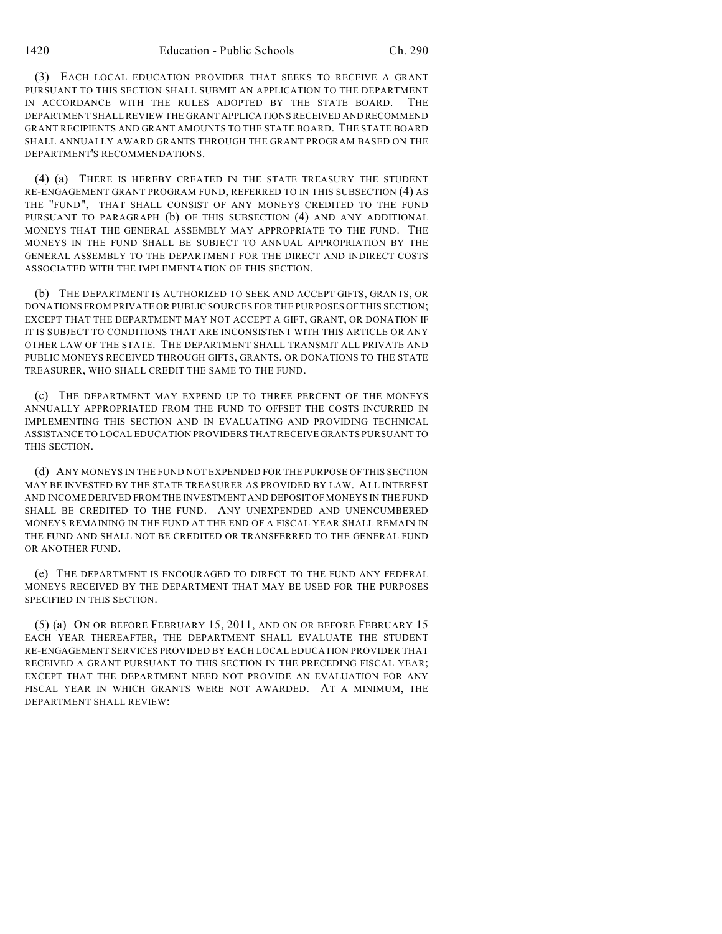(3) EACH LOCAL EDUCATION PROVIDER THAT SEEKS TO RECEIVE A GRANT PURSUANT TO THIS SECTION SHALL SUBMIT AN APPLICATION TO THE DEPARTMENT IN ACCORDANCE WITH THE RULES ADOPTED BY THE STATE BOARD. DEPARTMENT SHALL REVIEW THE GRANT APPLICATIONS RECEIVED AND RECOMMEND GRANT RECIPIENTS AND GRANT AMOUNTS TO THE STATE BOARD. THE STATE BOARD SHALL ANNUALLY AWARD GRANTS THROUGH THE GRANT PROGRAM BASED ON THE DEPARTMENT'S RECOMMENDATIONS.

(4) (a) THERE IS HEREBY CREATED IN THE STATE TREASURY THE STUDENT RE-ENGAGEMENT GRANT PROGRAM FUND, REFERRED TO IN THIS SUBSECTION (4) AS THE "FUND", THAT SHALL CONSIST OF ANY MONEYS CREDITED TO THE FUND PURSUANT TO PARAGRAPH (b) OF THIS SUBSECTION (4) AND ANY ADDITIONAL MONEYS THAT THE GENERAL ASSEMBLY MAY APPROPRIATE TO THE FUND. THE MONEYS IN THE FUND SHALL BE SUBJECT TO ANNUAL APPROPRIATION BY THE GENERAL ASSEMBLY TO THE DEPARTMENT FOR THE DIRECT AND INDIRECT COSTS ASSOCIATED WITH THE IMPLEMENTATION OF THIS SECTION.

(b) THE DEPARTMENT IS AUTHORIZED TO SEEK AND ACCEPT GIFTS, GRANTS, OR DONATIONS FROM PRIVATE OR PUBLIC SOURCES FOR THE PURPOSES OF THIS SECTION; EXCEPT THAT THE DEPARTMENT MAY NOT ACCEPT A GIFT, GRANT, OR DONATION IF IT IS SUBJECT TO CONDITIONS THAT ARE INCONSISTENT WITH THIS ARTICLE OR ANY OTHER LAW OF THE STATE. THE DEPARTMENT SHALL TRANSMIT ALL PRIVATE AND PUBLIC MONEYS RECEIVED THROUGH GIFTS, GRANTS, OR DONATIONS TO THE STATE TREASURER, WHO SHALL CREDIT THE SAME TO THE FUND.

(c) THE DEPARTMENT MAY EXPEND UP TO THREE PERCENT OF THE MONEYS ANNUALLY APPROPRIATED FROM THE FUND TO OFFSET THE COSTS INCURRED IN IMPLEMENTING THIS SECTION AND IN EVALUATING AND PROVIDING TECHNICAL ASSISTANCE TO LOCAL EDUCATION PROVIDERS THAT RECEIVE GRANTS PURSUANT TO THIS SECTION.

(d) ANY MONEYS IN THE FUND NOT EXPENDED FOR THE PURPOSE OF THIS SECTION MAY BE INVESTED BY THE STATE TREASURER AS PROVIDED BY LAW. ALL INTEREST AND INCOME DERIVED FROM THE INVESTMENT AND DEPOSIT OF MONEYS IN THE FUND SHALL BE CREDITED TO THE FUND. ANY UNEXPENDED AND UNENCUMBERED MONEYS REMAINING IN THE FUND AT THE END OF A FISCAL YEAR SHALL REMAIN IN THE FUND AND SHALL NOT BE CREDITED OR TRANSFERRED TO THE GENERAL FUND OR ANOTHER FUND.

(e) THE DEPARTMENT IS ENCOURAGED TO DIRECT TO THE FUND ANY FEDERAL MONEYS RECEIVED BY THE DEPARTMENT THAT MAY BE USED FOR THE PURPOSES SPECIFIED IN THIS SECTION.

(5) (a) ON OR BEFORE FEBRUARY 15, 2011, AND ON OR BEFORE FEBRUARY 15 EACH YEAR THEREAFTER, THE DEPARTMENT SHALL EVALUATE THE STUDENT RE-ENGAGEMENT SERVICES PROVIDED BY EACH LOCAL EDUCATION PROVIDER THAT RECEIVED A GRANT PURSUANT TO THIS SECTION IN THE PRECEDING FISCAL YEAR; EXCEPT THAT THE DEPARTMENT NEED NOT PROVIDE AN EVALUATION FOR ANY FISCAL YEAR IN WHICH GRANTS WERE NOT AWARDED. AT A MINIMUM, THE DEPARTMENT SHALL REVIEW: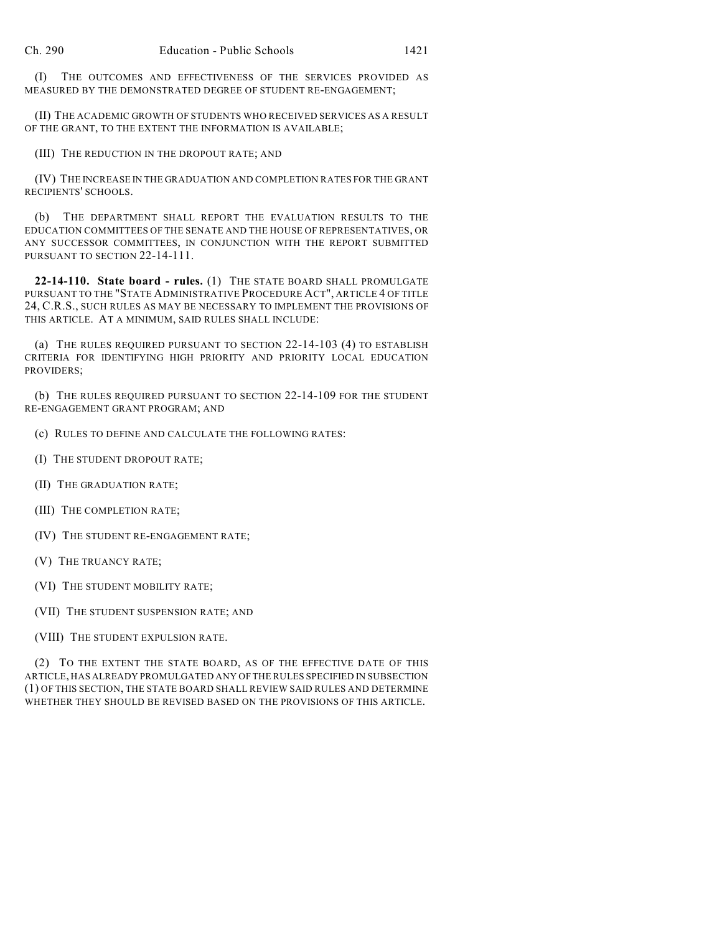(I) THE OUTCOMES AND EFFECTIVENESS OF THE SERVICES PROVIDED AS MEASURED BY THE DEMONSTRATED DEGREE OF STUDENT RE-ENGAGEMENT;

(II) THE ACADEMIC GROWTH OF STUDENTS WHO RECEIVED SERVICES AS A RESULT OF THE GRANT, TO THE EXTENT THE INFORMATION IS AVAILABLE;

(III) THE REDUCTION IN THE DROPOUT RATE; AND

(IV) THE INCREASE IN THE GRADUATION AND COMPLETION RATES FOR THE GRANT RECIPIENTS' SCHOOLS.

(b) THE DEPARTMENT SHALL REPORT THE EVALUATION RESULTS TO THE EDUCATION COMMITTEES OF THE SENATE AND THE HOUSE OF REPRESENTATIVES, OR ANY SUCCESSOR COMMITTEES, IN CONJUNCTION WITH THE REPORT SUBMITTED PURSUANT TO SECTION 22-14-111.

**22-14-110. State board - rules.** (1) THE STATE BOARD SHALL PROMULGATE PURSUANT TO THE "STATE ADMINISTRATIVE PROCEDURE ACT", ARTICLE 4 OF TITLE 24, C.R.S., SUCH RULES AS MAY BE NECESSARY TO IMPLEMENT THE PROVISIONS OF THIS ARTICLE. AT A MINIMUM, SAID RULES SHALL INCLUDE:

(a) THE RULES REQUIRED PURSUANT TO SECTION 22-14-103 (4) TO ESTABLISH CRITERIA FOR IDENTIFYING HIGH PRIORITY AND PRIORITY LOCAL EDUCATION PROVIDERS;

(b) THE RULES REQUIRED PURSUANT TO SECTION 22-14-109 FOR THE STUDENT RE-ENGAGEMENT GRANT PROGRAM; AND

(c) RULES TO DEFINE AND CALCULATE THE FOLLOWING RATES:

(I) THE STUDENT DROPOUT RATE;

- (II) THE GRADUATION RATE;
- (III) THE COMPLETION RATE;
- (IV) THE STUDENT RE-ENGAGEMENT RATE;
- (V) THE TRUANCY RATE;
- (VI) THE STUDENT MOBILITY RATE;
- (VII) THE STUDENT SUSPENSION RATE; AND

(VIII) THE STUDENT EXPULSION RATE.

(2) TO THE EXTENT THE STATE BOARD, AS OF THE EFFECTIVE DATE OF THIS ARTICLE, HAS ALREADY PROMULGATED ANY OF THE RULES SPECIFIED IN SUBSECTION (1) OF THIS SECTION, THE STATE BOARD SHALL REVIEW SAID RULES AND DETERMINE WHETHER THEY SHOULD BE REVISED BASED ON THE PROVISIONS OF THIS ARTICLE.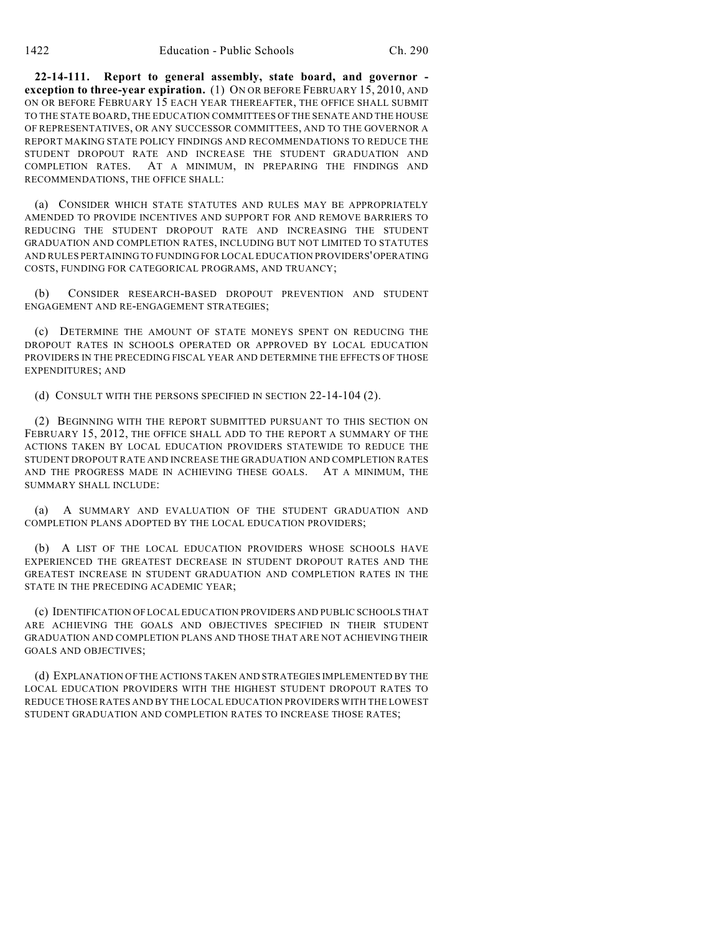**22-14-111. Report to general assembly, state board, and governor exception to three-year expiration.** (1) ON OR BEFORE FEBRUARY 15, 2010, AND ON OR BEFORE FEBRUARY 15 EACH YEAR THEREAFTER, THE OFFICE SHALL SUBMIT TO THE STATE BOARD, THE EDUCATION COMMITTEES OF THE SENATE AND THE HOUSE OF REPRESENTATIVES, OR ANY SUCCESSOR COMMITTEES, AND TO THE GOVERNOR A REPORT MAKING STATE POLICY FINDINGS AND RECOMMENDATIONS TO REDUCE THE STUDENT DROPOUT RATE AND INCREASE THE STUDENT GRADUATION AND COMPLETION RATES. AT A MINIMUM, IN PREPARING THE FINDINGS AND RECOMMENDATIONS, THE OFFICE SHALL:

(a) CONSIDER WHICH STATE STATUTES AND RULES MAY BE APPROPRIATELY AMENDED TO PROVIDE INCENTIVES AND SUPPORT FOR AND REMOVE BARRIERS TO REDUCING THE STUDENT DROPOUT RATE AND INCREASING THE STUDENT GRADUATION AND COMPLETION RATES, INCLUDING BUT NOT LIMITED TO STATUTES AND RULES PERTAINING TO FUNDING FOR LOCAL EDUCATION PROVIDERS' OPERATING COSTS, FUNDING FOR CATEGORICAL PROGRAMS, AND TRUANCY;

(b) CONSIDER RESEARCH-BASED DROPOUT PREVENTION AND STUDENT ENGAGEMENT AND RE-ENGAGEMENT STRATEGIES;

(c) DETERMINE THE AMOUNT OF STATE MONEYS SPENT ON REDUCING THE DROPOUT RATES IN SCHOOLS OPERATED OR APPROVED BY LOCAL EDUCATION PROVIDERS IN THE PRECEDING FISCAL YEAR AND DETERMINE THE EFFECTS OF THOSE EXPENDITURES; AND

(d) CONSULT WITH THE PERSONS SPECIFIED IN SECTION 22-14-104 (2).

(2) BEGINNING WITH THE REPORT SUBMITTED PURSUANT TO THIS SECTION ON FEBRUARY 15, 2012, THE OFFICE SHALL ADD TO THE REPORT A SUMMARY OF THE ACTIONS TAKEN BY LOCAL EDUCATION PROVIDERS STATEWIDE TO REDUCE THE STUDENT DROPOUT RATE AND INCREASE THE GRADUATION AND COMPLETION RATES AND THE PROGRESS MADE IN ACHIEVING THESE GOALS. AT A MINIMUM, THE SUMMARY SHALL INCLUDE:

(a) A SUMMARY AND EVALUATION OF THE STUDENT GRADUATION AND COMPLETION PLANS ADOPTED BY THE LOCAL EDUCATION PROVIDERS;

(b) A LIST OF THE LOCAL EDUCATION PROVIDERS WHOSE SCHOOLS HAVE EXPERIENCED THE GREATEST DECREASE IN STUDENT DROPOUT RATES AND THE GREATEST INCREASE IN STUDENT GRADUATION AND COMPLETION RATES IN THE STATE IN THE PRECEDING ACADEMIC YEAR;

(c) IDENTIFICATION OF LOCAL EDUCATION PROVIDERS AND PUBLIC SCHOOLS THAT ARE ACHIEVING THE GOALS AND OBJECTIVES SPECIFIED IN THEIR STUDENT GRADUATION AND COMPLETION PLANS AND THOSE THAT ARE NOT ACHIEVING THEIR GOALS AND OBJECTIVES;

(d) EXPLANATION OF THE ACTIONS TAKEN AND STRATEGIES IMPLEMENTED BY THE LOCAL EDUCATION PROVIDERS WITH THE HIGHEST STUDENT DROPOUT RATES TO REDUCE THOSE RATES AND BY THE LOCAL EDUCATION PROVIDERS WITH THE LOWEST STUDENT GRADUATION AND COMPLETION RATES TO INCREASE THOSE RATES;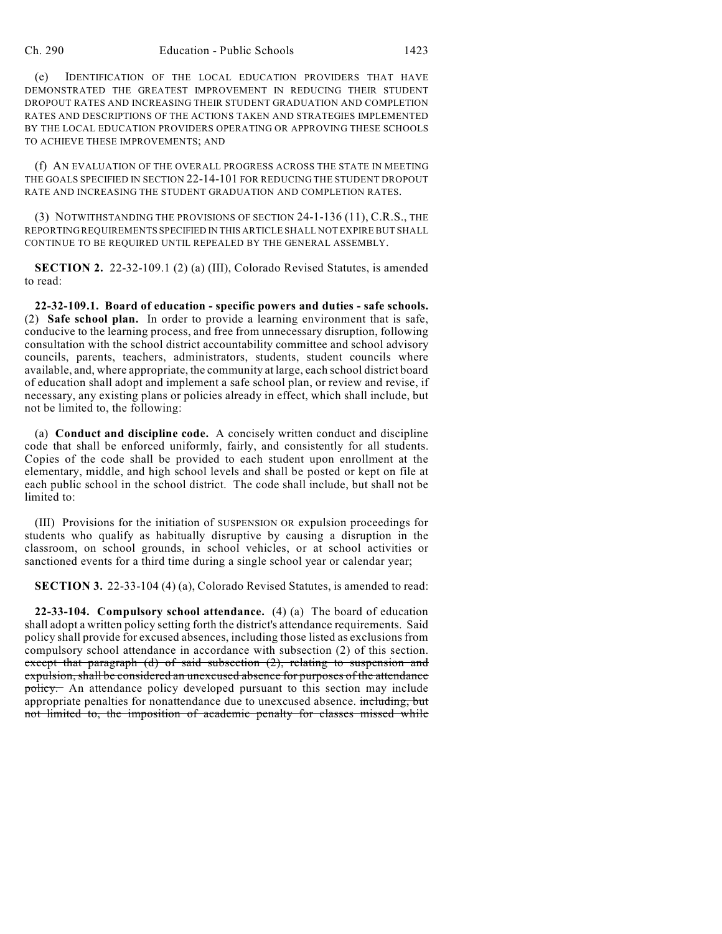(e) IDENTIFICATION OF THE LOCAL EDUCATION PROVIDERS THAT HAVE DEMONSTRATED THE GREATEST IMPROVEMENT IN REDUCING THEIR STUDENT DROPOUT RATES AND INCREASING THEIR STUDENT GRADUATION AND COMPLETION RATES AND DESCRIPTIONS OF THE ACTIONS TAKEN AND STRATEGIES IMPLEMENTED BY THE LOCAL EDUCATION PROVIDERS OPERATING OR APPROVING THESE SCHOOLS TO ACHIEVE THESE IMPROVEMENTS; AND

(f) AN EVALUATION OF THE OVERALL PROGRESS ACROSS THE STATE IN MEETING THE GOALS SPECIFIED IN SECTION 22-14-101 FOR REDUCING THE STUDENT DROPOUT RATE AND INCREASING THE STUDENT GRADUATION AND COMPLETION RATES.

(3) NOTWITHSTANDING THE PROVISIONS OF SECTION 24-1-136 (11), C.R.S., THE REPORTING REQUIREMENTS SPECIFIED IN THIS ARTICLE SHALL NOT EXPIRE BUT SHALL CONTINUE TO BE REQUIRED UNTIL REPEALED BY THE GENERAL ASSEMBLY.

**SECTION 2.** 22-32-109.1 (2) (a) (III), Colorado Revised Statutes, is amended to read:

**22-32-109.1. Board of education - specific powers and duties - safe schools.** (2) **Safe school plan.** In order to provide a learning environment that is safe, conducive to the learning process, and free from unnecessary disruption, following consultation with the school district accountability committee and school advisory councils, parents, teachers, administrators, students, student councils where available, and, where appropriate, the community at large, each school district board of education shall adopt and implement a safe school plan, or review and revise, if necessary, any existing plans or policies already in effect, which shall include, but not be limited to, the following:

(a) **Conduct and discipline code.** A concisely written conduct and discipline code that shall be enforced uniformly, fairly, and consistently for all students. Copies of the code shall be provided to each student upon enrollment at the elementary, middle, and high school levels and shall be posted or kept on file at each public school in the school district. The code shall include, but shall not be limited to:

(III) Provisions for the initiation of SUSPENSION OR expulsion proceedings for students who qualify as habitually disruptive by causing a disruption in the classroom, on school grounds, in school vehicles, or at school activities or sanctioned events for a third time during a single school year or calendar year;

**SECTION 3.** 22-33-104 (4) (a), Colorado Revised Statutes, is amended to read:

**22-33-104. Compulsory school attendance.** (4) (a) The board of education shall adopt a written policy setting forth the district's attendance requirements. Said policy shall provide for excused absences, including those listed as exclusions from compulsory school attendance in accordance with subsection (2) of this section. except that paragraph (d) of said subsection (2), relating to suspension and expulsion, shall be considered an unexcused absence for purposes of the attendance policy. An attendance policy developed pursuant to this section may include appropriate penalties for nonattendance due to unexcused absence. including, but not limited to, the imposition of academic penalty for classes missed while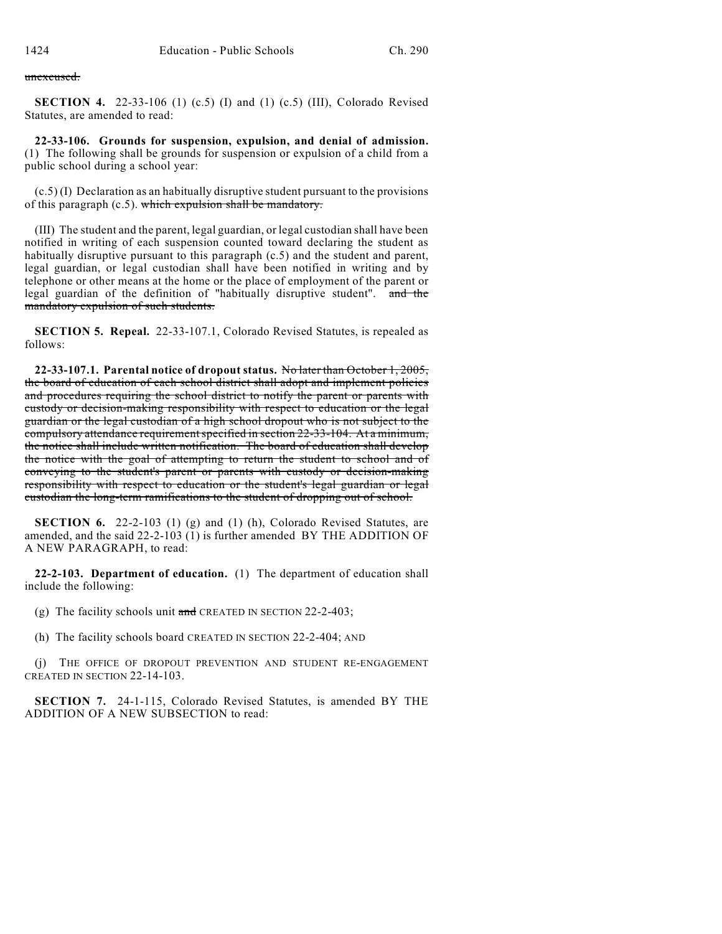unexcused.

**SECTION 4.** 22-33-106 (1) (c.5) (I) and (1) (c.5) (III), Colorado Revised Statutes, are amended to read:

**22-33-106. Grounds for suspension, expulsion, and denial of admission.** (1) The following shall be grounds for suspension or expulsion of a child from a public school during a school year:

(c.5) (I) Declaration as an habitually disruptive student pursuant to the provisions of this paragraph (c.5). which expulsion shall be mandatory.

(III) The student and the parent, legal guardian, or legal custodian shall have been notified in writing of each suspension counted toward declaring the student as habitually disruptive pursuant to this paragraph (c.5) and the student and parent, legal guardian, or legal custodian shall have been notified in writing and by telephone or other means at the home or the place of employment of the parent or legal guardian of the definition of "habitually disruptive student". and the mandatory expulsion of such students.

**SECTION 5. Repeal.** 22-33-107.1, Colorado Revised Statutes, is repealed as follows:

**22-33-107.1. Parental notice of dropout status.** No later than October 1, 2005, the board of education of each school district shall adopt and implement policies and procedures requiring the school district to notify the parent or parents with custody or decision-making responsibility with respect to education or the legal guardian or the legal custodian of a high school dropout who is not subject to the compulsory attendance requirement specified in section 22-33-104. At a minimum, the notice shall include written notification. The board of education shall develop the notice with the goal of attempting to return the student to school and of conveying to the student's parent or parents with custody or decision-making responsibility with respect to education or the student's legal guardian or legal custodian the long-term ramifications to the student of dropping out of school.

**SECTION 6.** 22-2-103 (1) (g) and (1) (h), Colorado Revised Statutes, are amended, and the said 22-2-103 (1) is further amended BY THE ADDITION OF A NEW PARAGRAPH, to read:

**22-2-103. Department of education.** (1) The department of education shall include the following:

- (g) The facility schools unit and CREATED IN SECTION 22-2-403;
- (h) The facility schools board CREATED IN SECTION 22-2-404; AND

(j) THE OFFICE OF DROPOUT PREVENTION AND STUDENT RE-ENGAGEMENT CREATED IN SECTION 22-14-103.

**SECTION 7.** 24-1-115, Colorado Revised Statutes, is amended BY THE ADDITION OF A NEW SUBSECTION to read: